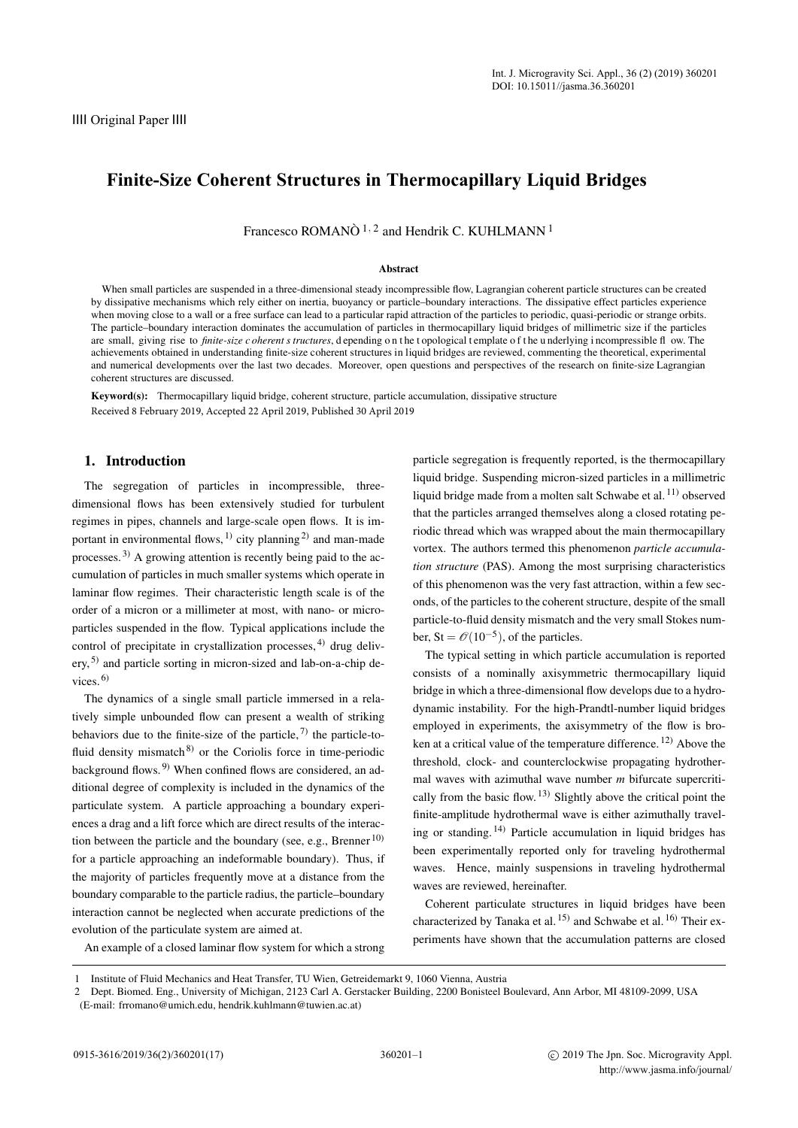# **Finite-Size Coherent Structures in Thermocapillary Liquid Bridges**

Francesco ROMANÒ<sup>1, 2</sup> and Hendrik C. KUHLMANN<sup>1</sup>

#### Abstract

When small particles are suspended in a three-dimensional steady incompressible flow, Lagrangian coherent particle structures can be created by dissipative mechanisms which rely either on inertia, buoyancy or particle–boundary interactions. The dissipative effect particles experience when moving close to a wall or a free surface can lead to a particular rapid attraction of the particles to periodic, quasi-periodic or strange orbits. The particle–boundary interaction dominates the accumulation of particles in thermocapillary liquid bridges of millimetric size if the particles are small, giving rise to *finite-size c oherent s tructures*, d epending on the t opological t emplate of the underlying i ncompressible fl ow. The achievements obtained in understanding finite-size coherent structures in liquid bridges are reviewed, commenting the theoretical, experimental and numerical developments over the last two decades. Moreover, open questions and perspectives of the research on finite-size Lagrangian coherent structures are discussed.

Keyword(s): Thermocapillary liquid bridge, coherent structure, particle accumulation, dissipative structure Received 8 February 2019, Accepted 22 April 2019, Published 30 April 2019

#### 1. Introduction

The segregation of particles in incompressible, threedimensional flows has been extensively studied for turbulent regimes in pipes, channels and large-scale open flows. It is important in environmental flows,  $^{1)}$  $^{1)}$  $^{1)}$  city planning<sup>[2\)](#page-15-1)</sup> and man-made processes. [3\)](#page-15-2) A growing attention is recently being paid to the accumulation of particles in much smaller systems which operate in laminar flow regimes. Their characteristic length scale is of the order of a micron or a millimeter at most, with nano- or microparticles suspended in the flow. Typical applications include the control of precipitate in crystallization processes,  $4$ ) drug deliv-ery, <sup>[5\)](#page-15-4)</sup> and particle sorting in micron-sized and lab-on-a-chip devices.  $6$ )

The dynamics of a single small particle immersed in a relatively simple unbounded flow can present a wealth of striking behaviors due to the finite-size of the particle,  $\frac{7}{1}$  the particle-tofluid density mismatch $8$  or the Coriolis force in time-periodic background flows. [9\)](#page-15-8) When confined flows are considered, an additional degree of complexity is included in the dynamics of the particulate system. A particle approaching a boundary experiences a drag and a lift force which are direct results of the interaction between the particle and the boundary (see, e.g., Brenner  $^{10)}$  $^{10)}$  $^{10)}$ ) for a particle approaching an indeformable boundary). Thus, if the majority of particles frequently move at a distance from the boundary comparable to the particle radius, the particle–boundary interaction cannot be neglected when accurate predictions of the evolution of the particulate system are aimed at.

particle segregation is frequently reported, is the thermocapillary liquid bridge. Suspending micron-sized particles in a millimetric liquid bridge made from a molten salt Schwabe et al. [11\)](#page-15-10) observed that the particles arranged themselves along a closed rotating periodic thread which was wrapped about the main thermocapillary vortex. The authors termed this phenomenon *particle accumulation structure* (PAS). Among the most surprising characteristics of this phenomenon was the very fast attraction, within a few seconds, of the particles to the coherent structure, despite of the small particle-to-fluid density mismatch and the very small Stokes number, St =  $\mathcal{O}(10^{-5})$ , of the particles.

The typical setting in which particle accumulation is reported consists of a nominally axisymmetric thermocapillary liquid bridge in which a three-dimensional flow develops due to a hydrodynamic instability. For the high-Prandtl-number liquid bridges employed in experiments, the axisymmetry of the flow is broken at a critical value of the temperature difference. [12\)](#page-15-11) Above the threshold, clock- and counterclockwise propagating hydrothermal waves with azimuthal wave number *m* bifurcate supercritically from the basic flow. [13\)](#page-15-12) Slightly above the critical point the finite-amplitude hydrothermal wave is either azimuthally traveling or standing.  $\frac{1}{4}$  Particle accumulation in liquid bridges has been experimentally reported only for traveling hydrothermal waves. Hence, mainly suspensions in traveling hydrothermal waves are reviewed, hereinafter.

Coherent particulate structures in liquid bridges have been characterized by Tanaka et al. <sup>[15\)](#page-15-14)</sup> and Schwabe et al. <sup>[16\)](#page-15-15)</sup> Their experiments have shown that the accumulation patterns are closed

An example of a closed laminar flow system for which a strong

<sup>1</sup> Institute of Fluid Mechanics and Heat Transfer, TU Wien, Getreidemarkt 9, 1060 Vienna, Austria

<sup>2</sup> Dept. Biomed. Eng., University of Michigan, 2123 Carl A. Gerstacker Building, 2200 Bonisteel Boulevard, Ann Arbor, MI 48109-2099, USA

<sup>(</sup>E-mail: frromano@umich.edu, hendrik.kuhlmann@tuwien.ac.at)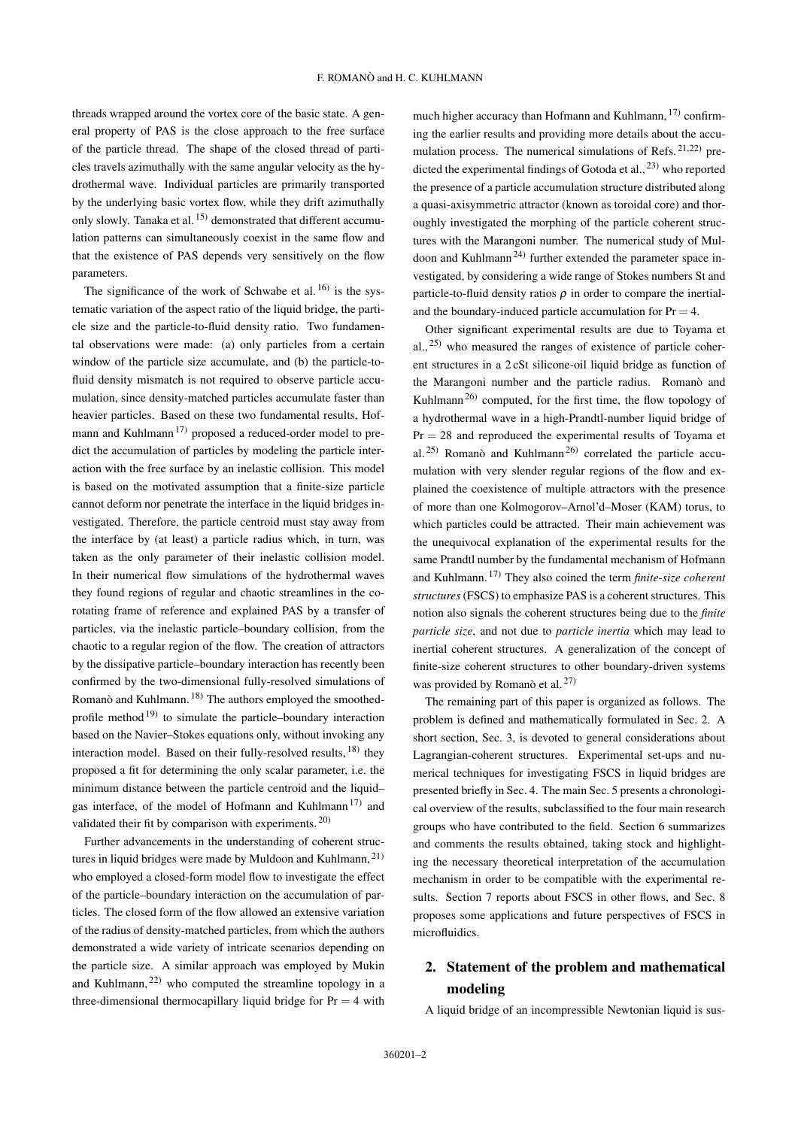threads wrapped around the vortex core of the basic state. A general property of PAS is the close approach to the free surface of the particle thread. The shape of the closed thread of particles travels azimuthally with the same angular velocity as the hydrothermal wave. Individual particles are primarily transported by the underlying basic vortex flow, while they drift azimuthally only slowly. Tanaka et al. [15\)](#page-15-14) demonstrated that different accumulation patterns can simultaneously coexist in the same flow and that the existence of PAS depends very sensitively on the flow parameters.

The significance of the work of Schwabe et al.  $^{16}$  is the systematic variation of the aspect ratio of the liquid bridge, the particle size and the particle-to-fluid density ratio. Two fundamental observations were made: (a) only particles from a certain window of the particle size accumulate, and (b) the particle-tofluid density mismatch is not required to observe particle accumulation, since density-matched particles accumulate faster than heavier particles. Based on these two fundamental results, Hof-mann and Kuhlmann<sup>[17\)](#page-15-16)</sup> proposed a reduced-order model to predict the accumulation of particles by modeling the particle interaction with the free surface by an inelastic collision. This model is based on the motivated assumption that a finite-size particle cannot deform nor penetrate the interface in the liquid bridges investigated. Therefore, the particle centroid must stay away from the interface by (at least) a particle radius which, in turn, was taken as the only parameter of their inelastic collision model. In their numerical flow simulations of the hydrothermal waves they found regions of regular and chaotic streamlines in the corotating frame of reference and explained PAS by a transfer of particles, via the inelastic particle–boundary collision, from the chaotic to a regular region of the flow. The creation of attractors by the dissipative particle–boundary interaction has recently been confirmed by the two-dimensional fully-resolved simulations of Romanò and Kuhlmann. [18\)](#page-15-17) The authors employed the smoothed-profile method<sup>[19\)](#page-15-18)</sup> to simulate the particle–boundary interaction based on the Navier–Stokes equations only, without invoking any interaction model. Based on their fully-resolved results, <sup>[18\)](#page-15-17)</sup> they proposed a fit for determining the only scalar parameter, i.e. the minimum distance between the particle centroid and the liquid– gas interface, of the model of Hofmann and Kuhlmann<sup>[17\)](#page-15-16)</sup> and validated their fit by comparison with experiments.<sup>[20\)](#page-15-19)</sup>

Further advancements in the understanding of coherent struc-tures in liquid bridges were made by Muldoon and Kuhlmann, <sup>[21\)](#page-15-20)</sup> who employed a closed-form model flow to investigate the effect of the particle–boundary interaction on the accumulation of particles. The closed form of the flow allowed an extensive variation of the radius of density-matched particles, from which the authors demonstrated a wide variety of intricate scenarios depending on the particle size. A similar approach was employed by Mukin and Kuhlmann, [22\)](#page-15-21) who computed the streamline topology in a three-dimensional thermocapillary liquid bridge for  $Pr = 4$  with

much higher accuracy than Hofmann and Kuhlmann, <sup>[17\)](#page-15-16)</sup> confirming the earlier results and providing more details about the accumulation process. The numerical simulations of Refs.  $21,222$  $21,222$  predicted the experimental findings of Gotoda et al.,  $^{23)}$  $^{23)}$  $^{23)}$  who reported the presence of a particle accumulation structure distributed along a quasi-axisymmetric attractor (known as toroidal core) and thoroughly investigated the morphing of the particle coherent structures with the Marangoni number. The numerical study of Mul-doon and Kuhlmann<sup>[24\)](#page-15-23)</sup> further extended the parameter space investigated, by considering a wide range of Stokes numbers St and particle-to-fluid density ratios  $\rho$  in order to compare the inertialand the boundary-induced particle accumulation for  $Pr = 4$ .

Other significant experimental results are due to Toyama et al.,  $25$  who measured the ranges of existence of particle coherent structures in a 2 cSt silicone-oil liquid bridge as function of the Marangoni number and the particle radius. Romanò and Kuhlmann<sup>[26\)](#page-15-25)</sup> computed, for the first time, the flow topology of a hydrothermal wave in a high-Prandtl-number liquid bridge of  $Pr = 28$  and reproduced the experimental results of Toyama et al.<sup>[25\)](#page-15-24)</sup> Romanò and Kuhlmann<sup>[26\)](#page-15-25)</sup> correlated the particle accumulation with very slender regular regions of the flow and explained the coexistence of multiple attractors with the presence of more than one Kolmogorov–Arnol'd–Moser (KAM) torus, to which particles could be attracted. Their main achievement was the unequivocal explanation of the experimental results for the same Prandtl number by the fundamental mechanism of Hofmann and Kuhlmann. [17\)](#page-15-16) They also coined the term *finite-size coherent structures*(FSCS) to emphasize PAS is a coherent structures. This notion also signals the coherent structures being due to the *finite particle size*, and not due to *particle inertia* which may lead to inertial coherent structures. A generalization of the concept of finite-size coherent structures to other boundary-driven systems was provided by Romanò et al. [27\)](#page-15-26)

The remaining part of this paper is organized as follows. The problem is defined and mathematically formulated in Sec. [2.](#page-1-0) A short section, Sec. [3,](#page-4-0) is devoted to general considerations about Lagrangian-coherent structures. Experimental set-ups and numerical techniques for investigating FSCS in liquid bridges are presented briefly in Sec. [4.](#page-5-0) The main Sec. [5](#page-6-0) presents a chronological overview of the results, subclassified to the four main research groups who have contributed to the field. Section [6](#page-13-0) summarizes and comments the results obtained, taking stock and highlighting the necessary theoretical interpretation of the accumulation mechanism in order to be compatible with the experimental results. Section [7](#page-14-0) reports about FSCS in other flows, and Sec. [8](#page-14-1) proposes some applications and future perspectives of FSCS in microfluidics.

## <span id="page-1-0"></span>2. Statement of the problem and mathematical modeling

A liquid bridge of an incompressible Newtonian liquid is sus-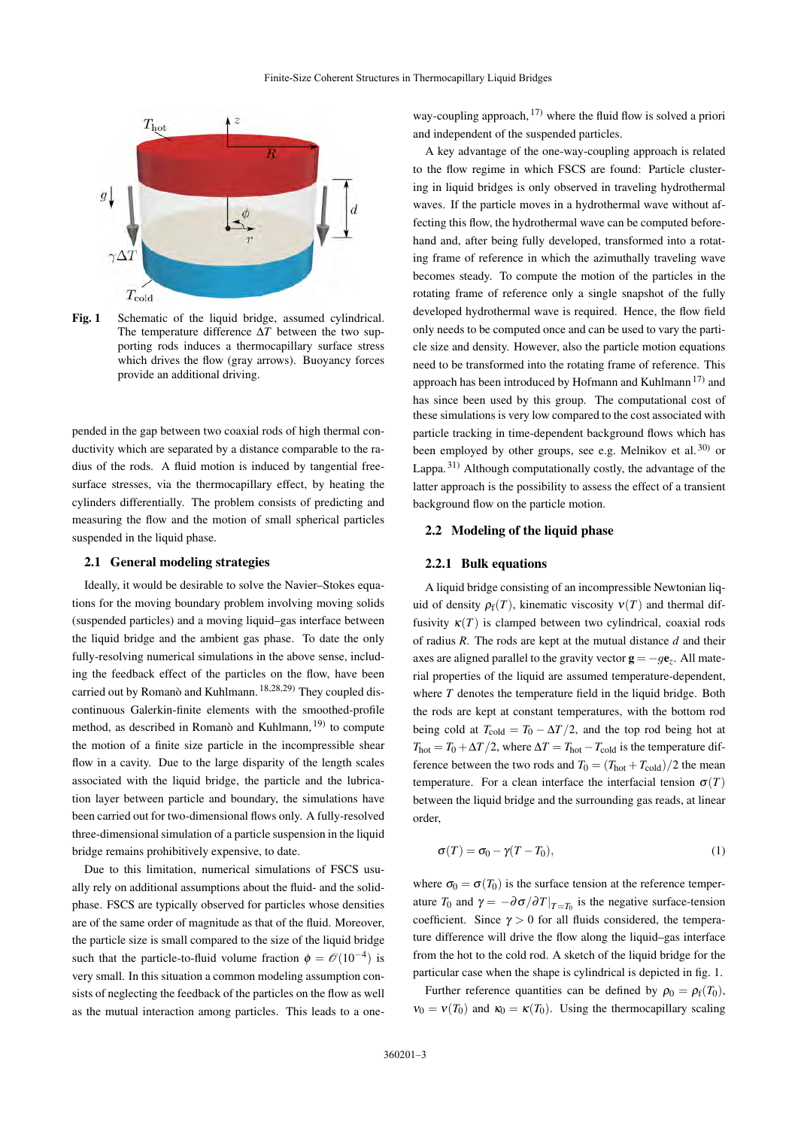

<span id="page-2-0"></span>Fig. 1 Schematic of the liquid bridge, assumed cylindrical. The temperature difference ∆*T* between the two supporting rods induces a thermocapillary surface stress which drives the flow (gray arrows). Buoyancy forces provide an additional driving.

pended in the gap between two coaxial rods of high thermal conductivity which are separated by a distance comparable to the radius of the rods. A fluid motion is induced by tangential freesurface stresses, via the thermocapillary effect, by heating the cylinders differentially. The problem consists of predicting and measuring the flow and the motion of small spherical particles suspended in the liquid phase.

#### 2.1 General modeling strategies

Ideally, it would be desirable to solve the Navier–Stokes equations for the moving boundary problem involving moving solids (suspended particles) and a moving liquid–gas interface between the liquid bridge and the ambient gas phase. To date the only fully-resolving numerical simulations in the above sense, including the feedback effect of the particles on the flow, have been carried out by Romanò and Kuhlmann. [18,](#page-15-17)[28](#page-15-27)[,29\)](#page-15-28) They coupled discontinuous Galerkin-finite elements with the smoothed-profile method, as described in Romanò and Kuhlmann, <sup>[19\)](#page-15-18)</sup> to compute the motion of a finite size particle in the incompressible shear flow in a cavity. Due to the large disparity of the length scales associated with the liquid bridge, the particle and the lubrication layer between particle and boundary, the simulations have been carried out for two-dimensional flows only. A fully-resolved three-dimensional simulation of a particle suspension in the liquid bridge remains prohibitively expensive, to date.

Due to this limitation, numerical simulations of FSCS usually rely on additional assumptions about the fluid- and the solidphase. FSCS are typically observed for particles whose densities are of the same order of magnitude as that of the fluid. Moreover, the particle size is small compared to the size of the liquid bridge such that the particle-to-fluid volume fraction  $\phi = \mathcal{O}(10^{-4})$  is very small. In this situation a common modeling assumption consists of neglecting the feedback of the particles on the flow as well as the mutual interaction among particles. This leads to a oneway-coupling approach,  $^{17}$  where the fluid flow is solved a priori and independent of the suspended particles.

A key advantage of the one-way-coupling approach is related to the flow regime in which FSCS are found: Particle clustering in liquid bridges is only observed in traveling hydrothermal waves. If the particle moves in a hydrothermal wave without affecting this flow, the hydrothermal wave can be computed beforehand and, after being fully developed, transformed into a rotating frame of reference in which the azimuthally traveling wave becomes steady. To compute the motion of the particles in the rotating frame of reference only a single snapshot of the fully developed hydrothermal wave is required. Hence, the flow field only needs to be computed once and can be used to vary the particle size and density. However, also the particle motion equations need to be transformed into the rotating frame of reference. This approach has been introduced by Hofmann and Kuhlmann<sup>[17\)](#page-15-16)</sup> and has since been used by this group. The computational cost of these simulations is very low compared to the cost associated with particle tracking in time-dependent background flows which has been employed by other groups, see e.g. Melnikov et al.  $30$  or Lappa.<sup>[31\)](#page-15-30)</sup> Although computationally costly, the advantage of the latter approach is the possibility to assess the effect of a transient background flow on the particle motion.

#### 2.2 Modeling of the liquid phase

#### 2.2.1 Bulk equations

A liquid bridge consisting of an incompressible Newtonian liquid of density  $\rho_f(T)$ , kinematic viscosity  $v(T)$  and thermal diffusivity  $\kappa(T)$  is clamped between two cylindrical, coaxial rods of radius *R*. The rods are kept at the mutual distance *d* and their axes are aligned parallel to the gravity vector  $g = -g\mathbf{e}_z$ . All material properties of the liquid are assumed temperature-dependent, where *T* denotes the temperature field in the liquid bridge. Both the rods are kept at constant temperatures, with the bottom rod being cold at  $T_{\text{cold}} = T_0 - \Delta T/2$ , and the top rod being hot at  $T_{hot} = T_0 + \Delta T/2$ , where  $\Delta T = T_{hot} - T_{cold}$  is the temperature difference between the two rods and  $T_0 = (T_{hot} + T_{cold})/2$  the mean temperature. For a clean interface the interfacial tension  $\sigma(T)$ between the liquid bridge and the surrounding gas reads, at linear order,

$$
\sigma(T) = \sigma_0 - \gamma (T - T_0), \qquad (1)
$$

where  $\sigma_0 = \sigma(T_0)$  is the surface tension at the reference temperature  $T_0$  and  $\gamma = -\partial \sigma / \partial T |_{T=T_0}$  is the negative surface-tension coefficient. Since  $\gamma > 0$  for all fluids considered, the temperature difference will drive the flow along the liquid–gas interface from the hot to the cold rod. A sketch of the liquid bridge for the particular case when the shape is cylindrical is depicted in fig. [1.](#page-2-0)

Further reference quantities can be defined by  $\rho_0 = \rho_f(T_0)$ ,  $v_0 = v(T_0)$  and  $\kappa_0 = \kappa(T_0)$ . Using the thermocapillary scaling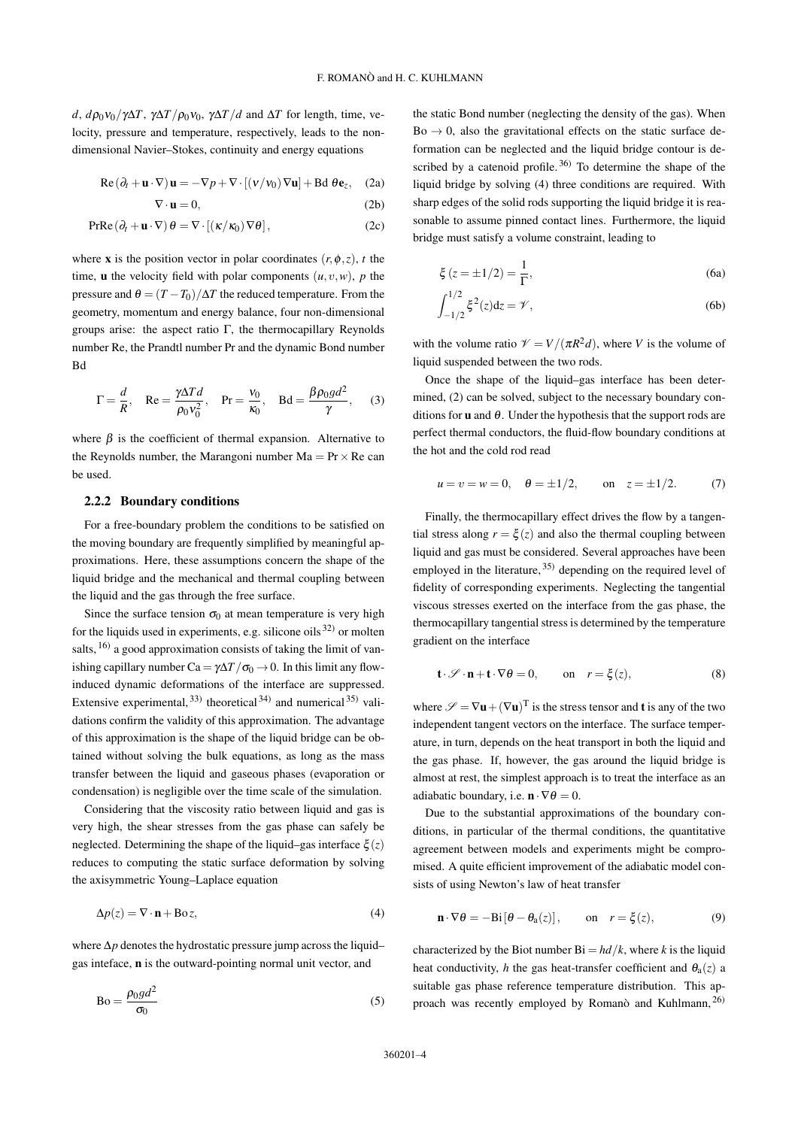*d*,  $d\rho_0 v_0 / \gamma \Delta T$ ,  $\gamma \Delta T / \rho_0 v_0$ ,  $\gamma \Delta T / d$  and  $\Delta T$  for length, time, velocity, pressure and temperature, respectively, leads to the nondimensional Navier–Stokes, continuity and energy equations

$$
\operatorname{Re}(\partial_t + \mathbf{u} \cdot \nabla) \mathbf{u} = -\nabla p + \nabla \cdot [(\mathbf{v}/v_0) \nabla \mathbf{u}] + \operatorname{Bd} \theta \mathbf{e}_z, \quad (2a)
$$

$$
\nabla \cdot \mathbf{u} = 0. \quad (2b)
$$

$$
PrRe(\partial_t + \mathbf{u} \cdot \nabla) \theta = \nabla \cdot [(\kappa/\kappa_0) \nabla \theta],
$$
 (2c)

where **x** is the position vector in polar coordinates  $(r, \phi, z)$ , *t* the time, **u** the velocity field with polar components  $(u, v, w)$ , *p* the pressure and  $\theta = (T - T_0)/\Delta T$  the reduced temperature. From the geometry, momentum and energy balance, four non-dimensional groups arise: the aspect ratio  $\Gamma$ , the thermocapillary Reynolds number Re, the Prandtl number Pr and the dynamic Bond number Bd

$$
\Gamma = \frac{d}{R}, \quad \text{Re} = \frac{\gamma \Delta T d}{\rho_0 v_0^2}, \quad \text{Pr} = \frac{v_0}{\kappa_0}, \quad \text{Bd} = \frac{\beta \rho_0 g d^2}{\gamma}, \quad (3)
$$

where  $\beta$  is the coefficient of thermal expansion. Alternative to the Reynolds number, the Marangoni number  $Ma = Pr \times Re$  can be used.

#### 2.2.2 Boundary conditions

For a free-boundary problem the conditions to be satisfied on the moving boundary are frequently simplified by meaningful approximations. Here, these assumptions concern the shape of the liquid bridge and the mechanical and thermal coupling between the liquid and the gas through the free surface.

Since the surface tension  $\sigma_0$  at mean temperature is very high for the liquids used in experiments, e.g. silicone oils  $(32)$  $(32)$  or molten salts,  $^{16)}$  $^{16)}$  $^{16)}$  a good approximation consists of taking the limit of vanishing capillary number Ca =  $\gamma \Delta T / \sigma_0 \rightarrow 0$ . In this limit any flowinduced dynamic deformations of the interface are suppressed. Extensive experimental,  $^{33)}$  $^{33)}$  $^{33)}$  theoretical  $^{34)}$  $^{34)}$  $^{34)}$  and numerical  $^{35)}$  $^{35)}$  $^{35)}$  validations confirm the validity of this approximation. The advantage of this approximation is the shape of the liquid bridge can be obtained without solving the bulk equations, as long as the mass transfer between the liquid and gaseous phases (evaporation or condensation) is negligible over the time scale of the simulation.

Considering that the viscosity ratio between liquid and gas is very high, the shear stresses from the gas phase can safely be neglected. Determining the shape of the liquid–gas interface  $\xi(z)$ reduces to computing the static surface deformation by solving the axisymmetric Young–Laplace equation

$$
\Delta p(z) = \nabla \cdot \mathbf{n} + \text{Bo } z,\tag{4}
$$

where ∆*p* denotes the hydrostatic pressure jump across the liquid– gas inteface, n is the outward-pointing normal unit vector, and

$$
Bo = \frac{\rho_0 g d^2}{\sigma_0} \tag{5}
$$

<span id="page-3-1"></span>the static Bond number (neglecting the density of the gas). When  $Bo \rightarrow 0$ , also the gravitational effects on the static surface deformation can be neglected and the liquid bridge contour is described by a catenoid profile. [36\)](#page-15-35) To determine the shape of the liquid bridge by solving [\(4\)](#page-3-0) three conditions are required. With sharp edges of the solid rods supporting the liquid bridge it is reasonable to assume pinned contact lines. Furthermore, the liquid bridge must satisfy a volume constraint, leading to

$$
\xi(z = \pm 1/2) = \frac{1}{\Gamma},
$$
\n(6a)

$$
\int_{-1/2}^{1/2} \xi^2(z) dz = \mathcal{V},
$$
 (6b)

with the volume ratio  $\mathcal{V} = V/(\pi R^2 d)$ , where *V* is the volume of liquid suspended between the two rods.

Once the shape of the liquid–gas interface has been determined, [\(2\)](#page-3-1) can be solved, subject to the necessary boundary conditions for **u** and  $\theta$ . Under the hypothesis that the support rods are perfect thermal conductors, the fluid-flow boundary conditions at the hot and the cold rod read

$$
u = v = w = 0
$$
,  $\theta = \pm 1/2$ , on  $z = \pm 1/2$ . (7)

Finally, the thermocapillary effect drives the flow by a tangential stress along  $r = \xi(z)$  and also the thermal coupling between liquid and gas must be considered. Several approaches have been employed in the literature, <sup>[35\)](#page-15-34)</sup> depending on the required level of fidelity of corresponding experiments. Neglecting the tangential viscous stresses exerted on the interface from the gas phase, the thermocapillary tangential stress is determined by the temperature gradient on the interface

$$
\mathbf{t} \cdot \mathscr{S} \cdot \mathbf{n} + \mathbf{t} \cdot \nabla \theta = 0, \qquad \text{on} \quad r = \xi(z), \tag{8}
$$

where  $\mathscr{S} = \nabla \mathbf{u} + (\nabla \mathbf{u})^T$  is the stress tensor and **t** is any of the two independent tangent vectors on the interface. The surface temperature, in turn, depends on the heat transport in both the liquid and the gas phase. If, however, the gas around the liquid bridge is almost at rest, the simplest approach is to treat the interface as an adiabatic boundary, i.e.  $\mathbf{n} \cdot \nabla \theta = 0$ .

<span id="page-3-0"></span>Due to the substantial approximations of the boundary conditions, in particular of the thermal conditions, the quantitative agreement between models and experiments might be compromised. A quite efficient improvement of the adiabatic model consists of using Newton's law of heat transfer

<span id="page-3-2"></span>
$$
\mathbf{n} \cdot \nabla \theta = -\text{Bi} \left[ \theta - \theta_a(z) \right], \qquad \text{on} \quad r = \xi(z), \tag{9}
$$

characterized by the Biot number  $Bi = hd/k$ , where *k* is the liquid heat conductivity, *h* the gas heat-transfer coefficient and  $\theta_a(z)$  a suitable gas phase reference temperature distribution. This approach was recently employed by Romanò and Kuhlmann, [26\)](#page-15-25)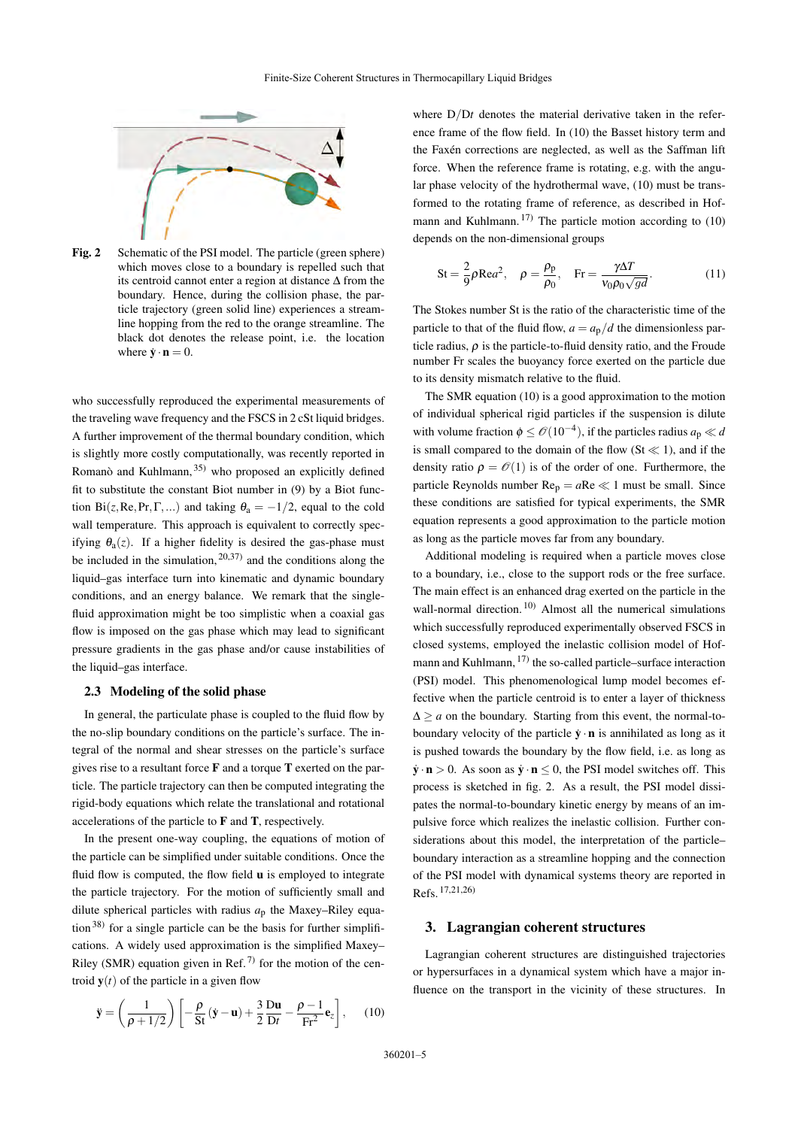

<span id="page-4-2"></span>Fig. 2 Schematic of the PSI model. The particle (green sphere) which moves close to a boundary is repelled such that its centroid cannot enter a region at distance ∆ from the boundary. Hence, during the collision phase, the particle trajectory (green solid line) experiences a streamline hopping from the red to the orange streamline. The black dot denotes the release point, i.e. the location where  $\dot{\mathbf{y}} \cdot \mathbf{n} = 0$ .

who successfully reproduced the experimental measurements of the traveling wave frequency and the FSCS in 2 cSt liquid bridges. A further improvement of the thermal boundary condition, which is slightly more costly computationally, was recently reported in Romanò and Kuhlmann, [35\)](#page-15-34) who proposed an explicitly defined fit to substitute the constant Biot number in [\(9\)](#page-3-2) by a Biot function Bi(*z*, Re, Pr,  $\Gamma$ ,...) and taking  $\theta$ <sub>a</sub> = −1/2, equal to the cold wall temperature. This approach is equivalent to correctly specifying  $\theta_a(z)$ . If a higher fidelity is desired the gas-phase must be included in the simulation,  $20,37$  $20,37$  and the conditions along the liquid–gas interface turn into kinematic and dynamic boundary conditions, and an energy balance. We remark that the singlefluid approximation might be too simplistic when a coaxial gas flow is imposed on the gas phase which may lead to significant pressure gradients in the gas phase and/or cause instabilities of the liquid–gas interface.

#### 2.3 Modeling of the solid phase

In general, the particulate phase is coupled to the fluid flow by the no-slip boundary conditions on the particle's surface. The integral of the normal and shear stresses on the particle's surface gives rise to a resultant force  **and a torque**  $**T**$  **exerted on the par**ticle. The particle trajectory can then be computed integrating the rigid-body equations which relate the translational and rotational accelerations of the particle to F and T, respectively.

In the present one-way coupling, the equations of motion of the particle can be simplified under suitable conditions. Once the fluid flow is computed, the flow field u is employed to integrate the particle trajectory. For the motion of sufficiently small and dilute spherical particles with radius *a*<sup>p</sup> the Maxey–Riley equa-tion<sup>[38\)](#page-15-37)</sup> for a single particle can be the basis for further simplifications. A widely used approximation is the simplified Maxey– Riley (SMR) equation given in Ref.<sup>[7\)](#page-15-6)</sup> for the motion of the centroid  $y(t)$  of the particle in a given flow

$$
\ddot{\mathbf{y}} = \left(\frac{1}{\rho + 1/2}\right) \left[ -\frac{\rho}{\text{St}} \left( \dot{\mathbf{y}} - \mathbf{u} \right) + \frac{3}{2} \frac{\text{Du}}{\text{Dt}} - \frac{\rho - 1}{\text{Fr}^2} \mathbf{e}_z \right], \quad (10)
$$

where  $D/Dt$  denotes the material derivative taken in the reference frame of the flow field. In [\(10\)](#page-4-1) the Basset history term and the Faxén corrections are neglected, as well as the Saffman lift force. When the reference frame is rotating, e.g. with the angular phase velocity of the hydrothermal wave, [\(10\)](#page-4-1) must be transformed to the rotating frame of reference, as described in Hof-mann and Kuhlmann.<sup>[17\)](#page-15-16)</sup> The particle motion according to  $(10)$ depends on the non-dimensional groups

St = 
$$
\frac{2}{9}\rho \text{Re}a^2
$$
,  $\rho = \frac{\rho_p}{\rho_0}$ , Fr =  $\frac{\gamma \Delta T}{v_0 \rho_0 \sqrt{gd}}$ . (11)

The Stokes number St is the ratio of the characteristic time of the particle to that of the fluid flow,  $a = a_p/d$  the dimensionless particle radius,  $\rho$  is the particle-to-fluid density ratio, and the Froude number Fr scales the buoyancy force exerted on the particle due to its density mismatch relative to the fluid.

The SMR equation [\(10\)](#page-4-1) is a good approximation to the motion of individual spherical rigid particles if the suspension is dilute with volume fraction  $\phi \leq \mathcal{O}(10^{-4})$ , if the particles radius  $a_p \ll d$ is small compared to the domain of the flow  $(St \ll 1)$ , and if the density ratio  $\rho = \mathcal{O}(1)$  is of the order of one. Furthermore, the particle Reynolds number  $Re_p = aRe \ll 1$  must be small. Since these conditions are satisfied for typical experiments, the SMR equation represents a good approximation to the particle motion as long as the particle moves far from any boundary.

Additional modeling is required when a particle moves close to a boundary, i.e., close to the support rods or the free surface. The main effect is an enhanced drag exerted on the particle in the wall-normal direction.<sup>[10\)](#page-15-9)</sup> Almost all the numerical simulations which successfully reproduced experimentally observed FSCS in closed systems, employed the inelastic collision model of Hofmann and Kuhlmann, [17\)](#page-15-16) the so-called particle–surface interaction (PSI) model. This phenomenological lump model becomes effective when the particle centroid is to enter a layer of thickness  $\Delta \ge a$  on the boundary. Starting from this event, the normal-toboundary velocity of the particle  $\dot{\mathbf{v}} \cdot \mathbf{n}$  is annihilated as long as it is pushed towards the boundary by the flow field, i.e. as long as  $\dot{\mathbf{y}} \cdot \mathbf{n} > 0$ . As soon as  $\dot{\mathbf{y}} \cdot \mathbf{n} \leq 0$ , the PSI model switches off. This process is sketched in fig. [2.](#page-4-2) As a result, the PSI model dissipates the normal-to-boundary kinetic energy by means of an impulsive force which realizes the inelastic collision. Further considerations about this model, the interpretation of the particle– boundary interaction as a streamline hopping and the connection of the PSI model with dynamical systems theory are reported in Refs. [17,](#page-15-16)[21](#page-15-20)[,26\)](#page-15-25)

#### <span id="page-4-0"></span>3. Lagrangian coherent structures

<span id="page-4-1"></span>Lagrangian coherent structures are distinguished trajectories or hypersurfaces in a dynamical system which have a major influence on the transport in the vicinity of these structures. In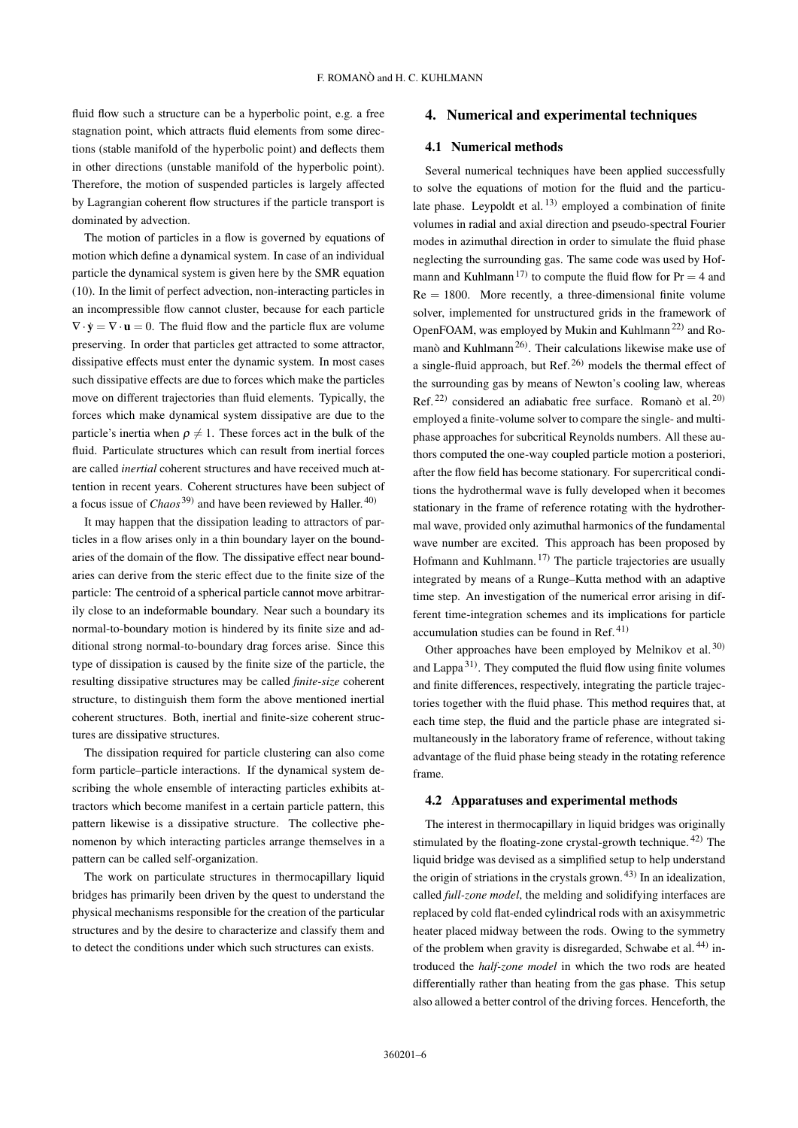fluid flow such a structure can be a hyperbolic point, e.g. a free stagnation point, which attracts fluid elements from some directions (stable manifold of the hyperbolic point) and deflects them in other directions (unstable manifold of the hyperbolic point). Therefore, the motion of suspended particles is largely affected by Lagrangian coherent flow structures if the particle transport is dominated by advection.

The motion of particles in a flow is governed by equations of motion which define a dynamical system. In case of an individual particle the dynamical system is given here by the SMR equation [\(10\)](#page-4-1). In the limit of perfect advection, non-interacting particles in an incompressible flow cannot cluster, because for each particle  $\nabla \cdot \dot{\mathbf{y}} = \nabla \cdot \mathbf{u} = 0$ . The fluid flow and the particle flux are volume preserving. In order that particles get attracted to some attractor, dissipative effects must enter the dynamic system. In most cases such dissipative effects are due to forces which make the particles move on different trajectories than fluid elements. Typically, the forces which make dynamical system dissipative are due to the particle's inertia when  $\rho \neq 1$ . These forces act in the bulk of the fluid. Particulate structures which can result from inertial forces are called *inertial* coherent structures and have received much attention in recent years. Coherent structures have been subject of a focus issue of *Chaos* [39\)](#page-15-38) and have been reviewed by Haller. [40\)](#page-15-39)

It may happen that the dissipation leading to attractors of particles in a flow arises only in a thin boundary layer on the boundaries of the domain of the flow. The dissipative effect near boundaries can derive from the steric effect due to the finite size of the particle: The centroid of a spherical particle cannot move arbitrarily close to an indeformable boundary. Near such a boundary its normal-to-boundary motion is hindered by its finite size and additional strong normal-to-boundary drag forces arise. Since this type of dissipation is caused by the finite size of the particle, the resulting dissipative structures may be called *finite-size* coherent structure, to distinguish them form the above mentioned inertial coherent structures. Both, inertial and finite-size coherent structures are dissipative structures.

The dissipation required for particle clustering can also come form particle–particle interactions. If the dynamical system describing the whole ensemble of interacting particles exhibits attractors which become manifest in a certain particle pattern, this pattern likewise is a dissipative structure. The collective phenomenon by which interacting particles arrange themselves in a pattern can be called self-organization.

The work on particulate structures in thermocapillary liquid bridges has primarily been driven by the quest to understand the physical mechanisms responsible for the creation of the particular structures and by the desire to characterize and classify them and to detect the conditions under which such structures can exists.

#### <span id="page-5-0"></span>4. Numerical and experimental techniques

#### 4.1 Numerical methods

Several numerical techniques have been applied successfully to solve the equations of motion for the fluid and the particu-late phase. Leypoldt et al.<sup>[13\)](#page-15-12)</sup> employed a combination of finite volumes in radial and axial direction and pseudo-spectral Fourier modes in azimuthal direction in order to simulate the fluid phase neglecting the surrounding gas. The same code was used by Hof-mann and Kuhlmann<sup>[17\)](#page-15-16)</sup> to compute the fluid flow for  $Pr = 4$  and  $Re = 1800$ . More recently, a three-dimensional finite volume solver, implemented for unstructured grids in the framework of OpenFOAM, was employed by Mukin and Kuhlmann<sup>[22\)](#page-15-21)</sup> and Ro-manò and Kuhlmann<sup>[26\)](#page-15-25)</sup>. Their calculations likewise make use of a single-fluid approach, but Ref.<sup>[26\)](#page-15-25)</sup> models the thermal effect of the surrounding gas by means of Newton's cooling law, whereas Ref.<sup>[22\)](#page-15-21)</sup> considered an adiabatic free surface. Romanò et al.<sup>[20\)](#page-15-19)</sup> employed a finite-volume solver to compare the single- and multiphase approaches for subcritical Reynolds numbers. All these authors computed the one-way coupled particle motion a posteriori, after the flow field has become stationary. For supercritical conditions the hydrothermal wave is fully developed when it becomes stationary in the frame of reference rotating with the hydrothermal wave, provided only azimuthal harmonics of the fundamental wave number are excited. This approach has been proposed by Hofmann and Kuhlmann.  $17$  The particle trajectories are usually integrated by means of a Runge–Kutta method with an adaptive time step. An investigation of the numerical error arising in different time-integration schemes and its implications for particle accumulation studies can be found in Ref.  $41$ )

Other approaches have been employed by Melnikov et al.<sup>[30\)](#page-15-29)</sup> and Lappa<sup>[31\)](#page-15-30)</sup>. They computed the fluid flow using finite volumes and finite differences, respectively, integrating the particle trajectories together with the fluid phase. This method requires that, at each time step, the fluid and the particle phase are integrated simultaneously in the laboratory frame of reference, without taking advantage of the fluid phase being steady in the rotating reference frame.

#### 4.2 Apparatuses and experimental methods

The interest in thermocapillary in liquid bridges was originally stimulated by the floating-zone crystal-growth technique. [42\)](#page-15-41) The liquid bridge was devised as a simplified setup to help understand the origin of striations in the crystals grown.<sup>[43\)](#page-15-42)</sup> In an idealization, called *full-zone model*, the melding and solidifying interfaces are replaced by cold flat-ended cylindrical rods with an axisymmetric heater placed midway between the rods. Owing to the symmetry of the problem when gravity is disregarded, Schwabe et al.<sup>[44\)](#page-15-43)</sup> introduced the *half-zone model* in which the two rods are heated differentially rather than heating from the gas phase. This setup also allowed a better control of the driving forces. Henceforth, the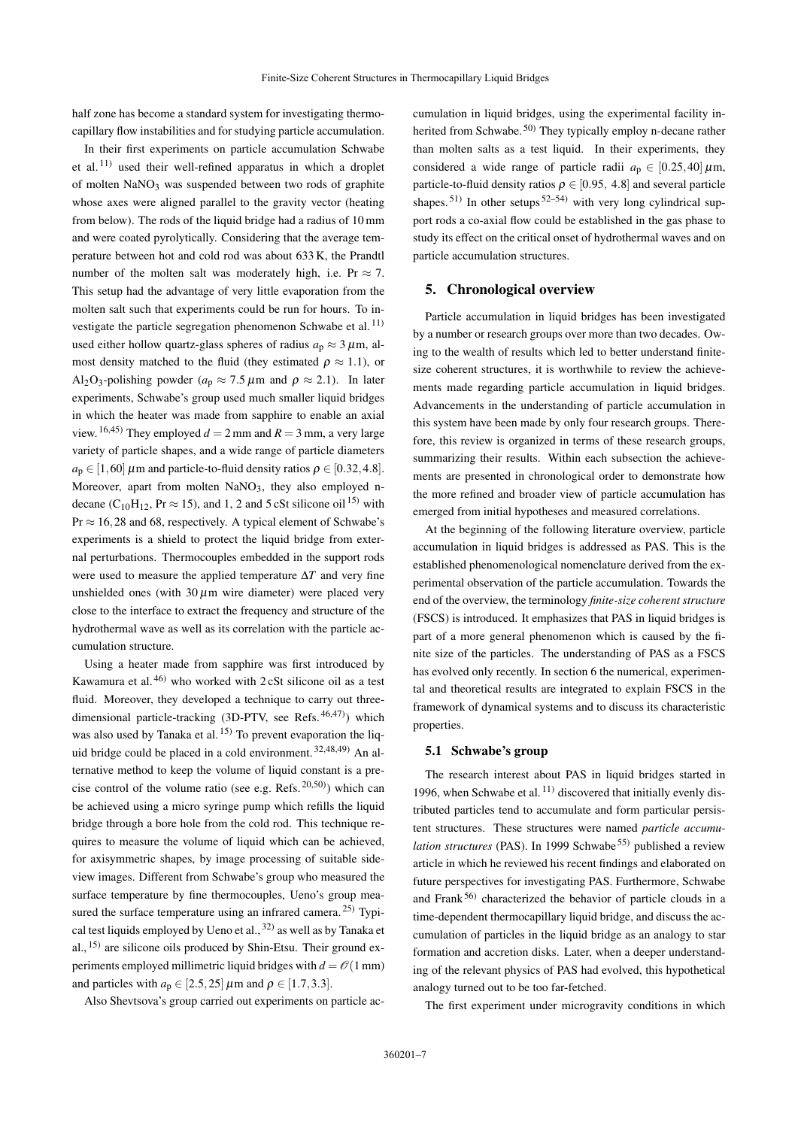half zone has become a standard system for investigating thermocapillary flow instabilities and for studying particle accumulation.

In their first experiments on particle accumulation Schwabe et al. [11\)](#page-15-10) used their well-refined apparatus in which a droplet of molten NaNO<sup>3</sup> was suspended between two rods of graphite whose axes were aligned parallel to the gravity vector (heating from below). The rods of the liquid bridge had a radius of 10 mm and were coated pyrolytically. Considering that the average temperature between hot and cold rod was about 633 K, the Prandtl number of the molten salt was moderately high, i.e. Pr  $\approx$  7. This setup had the advantage of very little evaporation from the molten salt such that experiments could be run for hours. To in-vestigate the particle segregation phenomenon Schwabe et al.<sup>[11\)](#page-15-10)</sup> used either hollow quartz-glass spheres of radius  $a_p \approx 3 \,\mu$ m, almost density matched to the fluid (they estimated  $\rho \approx 1.1$ ), or Al<sub>2</sub>O<sub>3</sub>-polishing powder ( $a_p \approx 7.5 \,\mu$ m and  $\rho \approx 2.1$ ). In later experiments, Schwabe's group used much smaller liquid bridges in which the heater was made from sapphire to enable an axial view. <sup>[16](#page-15-15)[,45\)](#page-15-44)</sup> They employed  $d = 2$  mm and  $R = 3$  mm, a very large variety of particle shapes, and a wide range of particle diameters  $a_p \in [1,60]$   $\mu$ m and particle-to-fluid density ratios  $\rho \in [0.32, 4.8]$ . Moreover, apart from molten  $NaNO<sub>3</sub>$ , they also employed ndecane (C<sub>10</sub>H<sub>12</sub>, Pr  $\approx$  [15\)](#page-15-14), and 1, 2 and 5 cSt silicone oil<sup>15)</sup> with  $Pr \approx 16,28$  and 68, respectively. A typical element of Schwabe's experiments is a shield to protect the liquid bridge from external perturbations. Thermocouples embedded in the support rods were used to measure the applied temperature ∆*T* and very fine unshielded ones (with  $30 \mu m$  wire diameter) were placed very close to the interface to extract the frequency and structure of the hydrothermal wave as well as its correlation with the particle accumulation structure.

Using a heater made from sapphire was first introduced by Kawamura et al. [46\)](#page-15-45) who worked with 2 cSt silicone oil as a test fluid. Moreover, they developed a technique to carry out threedimensional particle-tracking (3D-PTV, see Refs.  $46,47$  $46,47$ ) which was also used by Tanaka et al. <sup>[15\)](#page-15-14)</sup> To prevent evaporation the liquid bridge could be placed in a cold environment. [32](#page-15-31)[,48,](#page-15-47)[49\)](#page-15-48) An alternative method to keep the volume of liquid constant is a precise control of the volume ratio (see e.g. Refs.  $20,50)$  $20,50)$ ) which can be achieved using a micro syringe pump which refills the liquid bridge through a bore hole from the cold rod. This technique requires to measure the volume of liquid which can be achieved, for axisymmetric shapes, by image processing of suitable sideview images. Different from Schwabe's group who measured the surface temperature by fine thermocouples, Ueno's group measured the surface temperature using an infrared camera.  $^{25)}$  $^{25)}$  $^{25)}$  Typical test liquids employed by Ueno et al.,  $32)$  as well as by Tanaka et al., <sup>[15\)](#page-15-14)</sup> are silicone oils produced by Shin-Etsu. Their ground experiments employed millimetric liquid bridges with  $d = \mathcal{O}(1 \text{ mm})$ and particles with  $a_p \in [2.5, 25] \mu \text{m}$  and  $\rho \in [1.7, 3.3]$ .

Also Shevtsova's group carried out experiments on particle ac-

cumulation in liquid bridges, using the experimental facility in-herited from Schwabe.<sup>[50\)](#page-15-49)</sup> They typically employ n-decane rather than molten salts as a test liquid. In their experiments, they considered a wide range of particle radii  $a_p \in [0.25, 40] \,\mu \text{m}$ , particle-to-fluid density ratios  $\rho \in [0.95, 4.8]$  and several particle shapes.<sup>[51\)](#page-15-50)</sup> In other setups<sup>[52](#page-15-51)[–54\)](#page-15-52)</sup> with very long cylindrical support rods a co-axial flow could be established in the gas phase to study its effect on the critical onset of hydrothermal waves and on particle accumulation structures.

### <span id="page-6-0"></span>5. Chronological overview

Particle accumulation in liquid bridges has been investigated by a number or research groups over more than two decades. Owing to the wealth of results which led to better understand finitesize coherent structures, it is worthwhile to review the achievements made regarding particle accumulation in liquid bridges. Advancements in the understanding of particle accumulation in this system have been made by only four research groups. Therefore, this review is organized in terms of these research groups, summarizing their results. Within each subsection the achievements are presented in chronological order to demonstrate how the more refined and broader view of particle accumulation has emerged from initial hypotheses and measured correlations.

At the beginning of the following literature overview, particle accumulation in liquid bridges is addressed as PAS. This is the established phenomenological nomenclature derived from the experimental observation of the particle accumulation. Towards the end of the overview, the terminology *finite-size coherent structure* (FSCS) is introduced. It emphasizes that PAS in liquid bridges is part of a more general phenomenon which is caused by the finite size of the particles. The understanding of PAS as a FSCS has evolved only recently. In section [6](#page-13-0) the numerical, experimental and theoretical results are integrated to explain FSCS in the framework of dynamical systems and to discuss its characteristic properties.

#### <span id="page-6-1"></span>5.1 Schwabe's group

The research interest about PAS in liquid bridges started in 1996, when Schwabe et al.  $^{11)}$  $^{11)}$  $^{11)}$  discovered that initially evenly distributed particles tend to accumulate and form particular persistent structures. These structures were named *particle accumulation structures* (PAS). In 1999 Schwabe<sup>[55\)](#page-15-53)</sup> published a review article in which he reviewed his recent findings and elaborated on future perspectives for investigating PAS. Furthermore, Schwabe and Frank $56$ ) characterized the behavior of particle clouds in a time-dependent thermocapillary liquid bridge, and discuss the accumulation of particles in the liquid bridge as an analogy to star formation and accretion disks. Later, when a deeper understanding of the relevant physics of PAS had evolved, this hypothetical analogy turned out to be too far-fetched.

The first experiment under microgravity conditions in which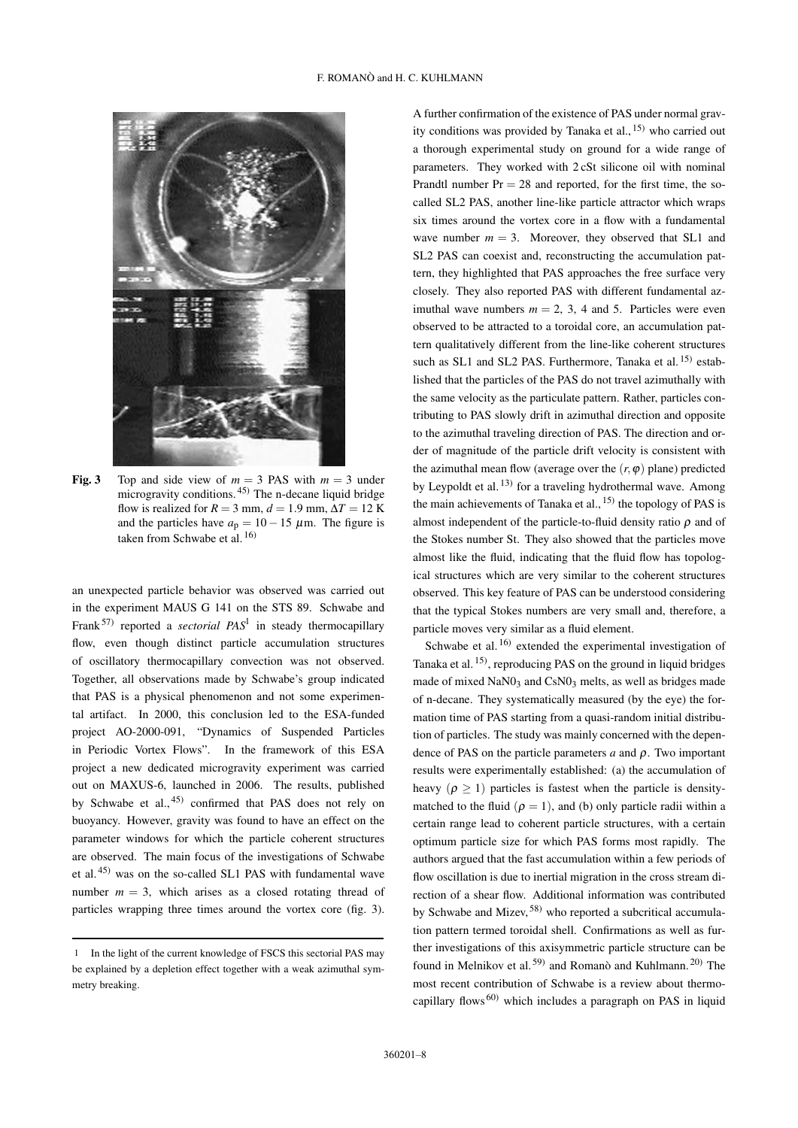

<span id="page-7-1"></span>Fig. 3 Top and side view of  $m = 3$  PAS with  $m = 3$  under microgravity conditions.  $45$  The n-decane liquid bridge flow is realized for  $R = 3$  mm,  $d = 1.9$  mm,  $\Delta T = 12$  K and the particles have  $a_p = 10 - 15 \mu$ m. The figure is taken from Schwabe et al.  $^{16)}$  $^{16)}$  $^{16)}$ 

an unexpected particle behavior was observed was carried out in the experiment MAUS G 141 on the STS 89. Schwabe and Frank<sup>[57\)](#page-15-55)</sup> reported a *sectorial PAS*<sup>[1](#page-7-0)</sup> in steady thermocapillary flow, even though distinct particle accumulation structures of oscillatory thermocapillary convection was not observed. Together, all observations made by Schwabe's group indicated that PAS is a physical phenomenon and not some experimental artifact. In 2000, this conclusion led to the ESA-funded project AO-2000-091, "Dynamics of Suspended Particles in Periodic Vortex Flows". In the framework of this ESA project a new dedicated microgravity experiment was carried out on MAXUS-6, launched in 2006. The results, published by Schwabe et al., [45\)](#page-15-44) confirmed that PAS does not rely on buoyancy. However, gravity was found to have an effect on the parameter windows for which the particle coherent structures are observed. The main focus of the investigations of Schwabe et al. [45\)](#page-15-44) was on the so-called SL1 PAS with fundamental wave number  $m = 3$ , which arises as a closed rotating thread of particles wrapping three times around the vortex core (fig. [3\)](#page-7-1).

A further confirmation of the existence of PAS under normal gravity conditions was provided by Tanaka et al.,  $^{15)}$  $^{15)}$  $^{15)}$  who carried out a thorough experimental study on ground for a wide range of parameters. They worked with 2 cSt silicone oil with nominal Prandtl number  $Pr = 28$  and reported, for the first time, the socalled SL2 PAS, another line-like particle attractor which wraps six times around the vortex core in a flow with a fundamental wave number  $m = 3$ . Moreover, they observed that SL1 and SL2 PAS can coexist and, reconstructing the accumulation pattern, they highlighted that PAS approaches the free surface very closely. They also reported PAS with different fundamental azimuthal wave numbers  $m = 2, 3, 4$  and 5. Particles were even observed to be attracted to a toroidal core, an accumulation pattern qualitatively different from the line-like coherent structures such as SL1 and SL2 PAS. Furthermore, Tanaka et al.<sup>[15\)](#page-15-14)</sup> established that the particles of the PAS do not travel azimuthally with the same velocity as the particulate pattern. Rather, particles contributing to PAS slowly drift in azimuthal direction and opposite to the azimuthal traveling direction of PAS. The direction and order of magnitude of the particle drift velocity is consistent with the azimuthal mean flow (average over the  $(r, \varphi)$  plane) predicted by Leypoldt et al.<sup>[13\)](#page-15-12)</sup> for a traveling hydrothermal wave. Among the main achievements of Tanaka et al.,  $^{15)}$  $^{15)}$  $^{15)}$  the topology of PAS is almost independent of the particle-to-fluid density ratio  $\rho$  and of the Stokes number St. They also showed that the particles move almost like the fluid, indicating that the fluid flow has topological structures which are very similar to the coherent structures observed. This key feature of PAS can be understood considering that the typical Stokes numbers are very small and, therefore, a particle moves very similar as a fluid element.

Schwabe et al.<sup>[16\)](#page-15-15)</sup> extended the experimental investigation of Tanaka et al.<sup>[15\)](#page-15-14)</sup>, reproducing PAS on the ground in liquid bridges made of mixed NaN0<sub>3</sub> and CsN0<sub>3</sub> melts, as well as bridges made of n-decane. They systematically measured (by the eye) the formation time of PAS starting from a quasi-random initial distribution of particles. The study was mainly concerned with the dependence of PAS on the particle parameters *a* and ρ. Two important results were experimentally established: (a) the accumulation of heavy ( $\rho > 1$ ) particles is fastest when the particle is densitymatched to the fluid ( $\rho = 1$ ), and (b) only particle radii within a certain range lead to coherent particle structures, with a certain optimum particle size for which PAS forms most rapidly. The authors argued that the fast accumulation within a few periods of flow oscillation is due to inertial migration in the cross stream direction of a shear flow. Additional information was contributed by Schwabe and Mizev, [58\)](#page-15-56) who reported a subcritical accumulation pattern termed toroidal shell. Confirmations as well as further investigations of this axisymmetric particle structure can be found in Melnikov et al.<sup>[59\)](#page-15-57)</sup> and Romanò and Kuhlmann.<sup>[20\)](#page-15-19)</sup> The most recent contribution of Schwabe is a review about thermocapillary flows [60\)](#page-15-58) which includes a paragraph on PAS in liquid

<span id="page-7-0"></span><sup>1</sup> In the light of the current knowledge of FSCS this sectorial PAS may be explained by a depletion effect together with a weak azimuthal symmetry breaking.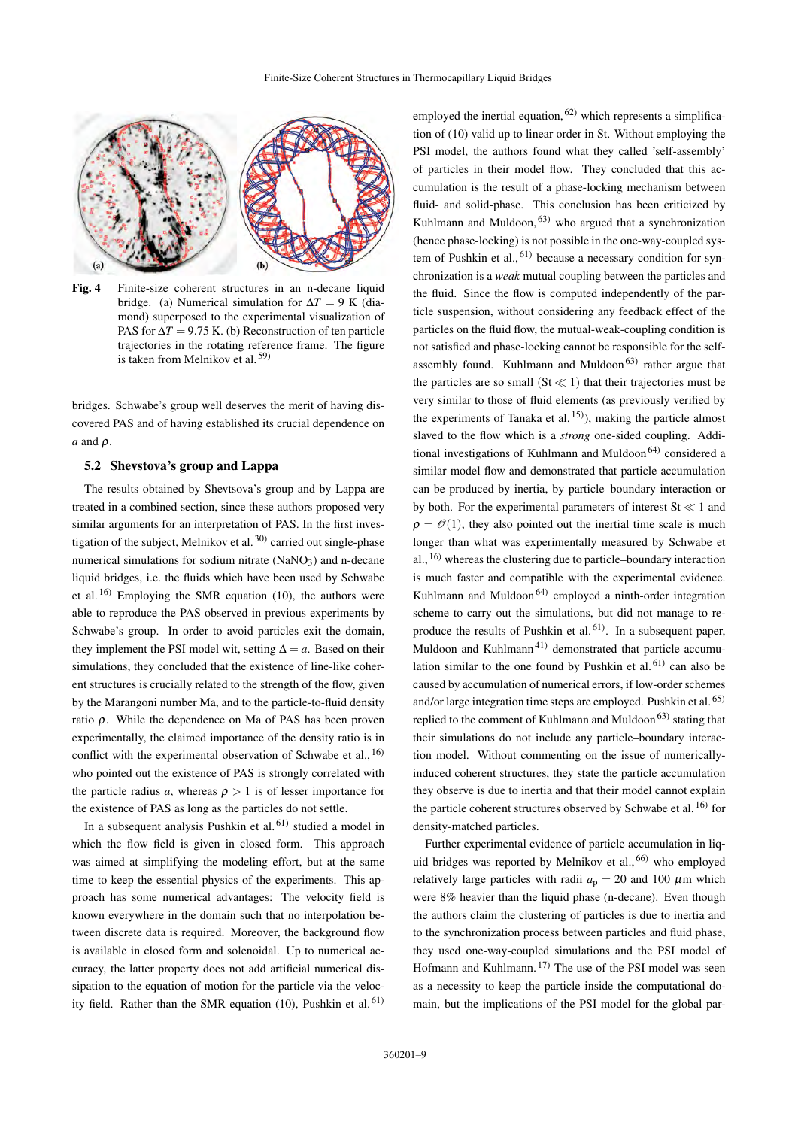

<span id="page-8-0"></span>Fig. 4 Finite-size coherent structures in an n-decane liquid bridge. (a) Numerical simulation for  $\Delta T = 9$  K (diamond) superposed to the experimental visualization of PAS for  $\Delta T = 9.75$  K. (b) Reconstruction of ten particle trajectories in the rotating reference frame. The figure is taken from Melnikov et al. [59\)](#page-15-57)

bridges. Schwabe's group well deserves the merit of having discovered PAS and of having established its crucial dependence on *a* and ρ.

#### <span id="page-8-1"></span>5.2 Shevstova's group and Lappa

The results obtained by Shevtsova's group and by Lappa are treated in a combined section, since these authors proposed very similar arguments for an interpretation of PAS. In the first inves-tigation of the subject, Melnikov et al.<sup>[30\)](#page-15-29)</sup> carried out single-phase numerical simulations for sodium nitrate  $(NaNO<sub>3</sub>)$  and n-decane liquid bridges, i.e. the fluids which have been used by Schwabe et al.  $^{16)}$  $^{16)}$  $^{16)}$  Employing the SMR equation [\(10\)](#page-4-1), the authors were able to reproduce the PAS observed in previous experiments by Schwabe's group. In order to avoid particles exit the domain, they implement the PSI model wit, setting  $\Delta = a$ . Based on their simulations, they concluded that the existence of line-like coherent structures is crucially related to the strength of the flow, given by the Marangoni number Ma, and to the particle-to-fluid density ratio ρ. While the dependence on Ma of PAS has been proven experimentally, the claimed importance of the density ratio is in conflict with the experimental observation of Schwabe et al.,  $^{16}$ who pointed out the existence of PAS is strongly correlated with the particle radius *a*, whereas  $\rho > 1$  is of lesser importance for the existence of PAS as long as the particles do not settle.

In a subsequent analysis Pushkin et al.<sup>[61\)](#page-15-59)</sup> studied a model in which the flow field is given in closed form. This approach was aimed at simplifying the modeling effort, but at the same time to keep the essential physics of the experiments. This approach has some numerical advantages: The velocity field is known everywhere in the domain such that no interpolation between discrete data is required. Moreover, the background flow is available in closed form and solenoidal. Up to numerical accuracy, the latter property does not add artificial numerical dissipation to the equation of motion for the particle via the veloc-ity field. Rather than the SMR equation [\(10\)](#page-4-1), Pushkin et al.  $61$ )

employed the inertial equation,  $62$ ) which represents a simplification of [\(10\)](#page-4-1) valid up to linear order in St. Without employing the PSI model, the authors found what they called 'self-assembly' of particles in their model flow. They concluded that this accumulation is the result of a phase-locking mechanism between fluid- and solid-phase. This conclusion has been criticized by Kuhlmann and Muldoon,  $63$ ) who argued that a synchronization (hence phase-locking) is not possible in the one-way-coupled system of Pushkin et al.,  $61$ ) because a necessary condition for synchronization is a *weak* mutual coupling between the particles and the fluid. Since the flow is computed independently of the particle suspension, without considering any feedback effect of the particles on the fluid flow, the mutual-weak-coupling condition is not satisfied and phase-locking cannot be responsible for the self-assembly found. Kuhlmann and Muldoon<sup>[63\)](#page-16-1)</sup> rather argue that the particles are so small  $(St \ll 1)$  that their trajectories must be very similar to those of fluid elements (as previously verified by the experiments of Tanaka et al.  $\binom{15}{2}$ , making the particle almost slaved to the flow which is a *strong* one-sided coupling. Addi-tional investigations of Kuhlmann and Muldoon<sup>[64\)](#page-16-2)</sup> considered a similar model flow and demonstrated that particle accumulation can be produced by inertia, by particle–boundary interaction or by both. For the experimental parameters of interest  $St \ll 1$  and  $\rho = \mathcal{O}(1)$ , they also pointed out the inertial time scale is much longer than what was experimentally measured by Schwabe et al., [16\)](#page-15-15) whereas the clustering due to particle–boundary interaction is much faster and compatible with the experimental evidence. Kuhlmann and Muldoon<sup>[64\)](#page-16-2)</sup> employed a ninth-order integration scheme to carry out the simulations, but did not manage to re-produce the results of Pushkin et al.<sup>[61\)](#page-15-59)</sup>. In a subsequent paper, Muldoon and Kuhlmann<sup>[41\)](#page-15-40)</sup> demonstrated that particle accumulation similar to the one found by Pushkin et al. $61)$  can also be caused by accumulation of numerical errors, if low-order schemes and/or large integration time steps are employed. Pushkin et al. [65\)](#page-16-3) replied to the comment of Kuhlmann and Muldoon<sup>[63\)](#page-16-1)</sup> stating that their simulations do not include any particle–boundary interaction model. Without commenting on the issue of numericallyinduced coherent structures, they state the particle accumulation they observe is due to inertia and that their model cannot explain the particle coherent structures observed by Schwabe et al.<sup>[16\)](#page-15-15)</sup> for density-matched particles.

Further experimental evidence of particle accumulation in liquid bridges was reported by Melnikov et al.,  $^{66}$  who employed relatively large particles with radii  $a_p = 20$  and 100  $\mu$ m which were 8% heavier than the liquid phase (n-decane). Even though the authors claim the clustering of particles is due to inertia and to the synchronization process between particles and fluid phase, they used one-way-coupled simulations and the PSI model of Hofmann and Kuhlmann.  $17$  The use of the PSI model was seen as a necessity to keep the particle inside the computational domain, but the implications of the PSI model for the global par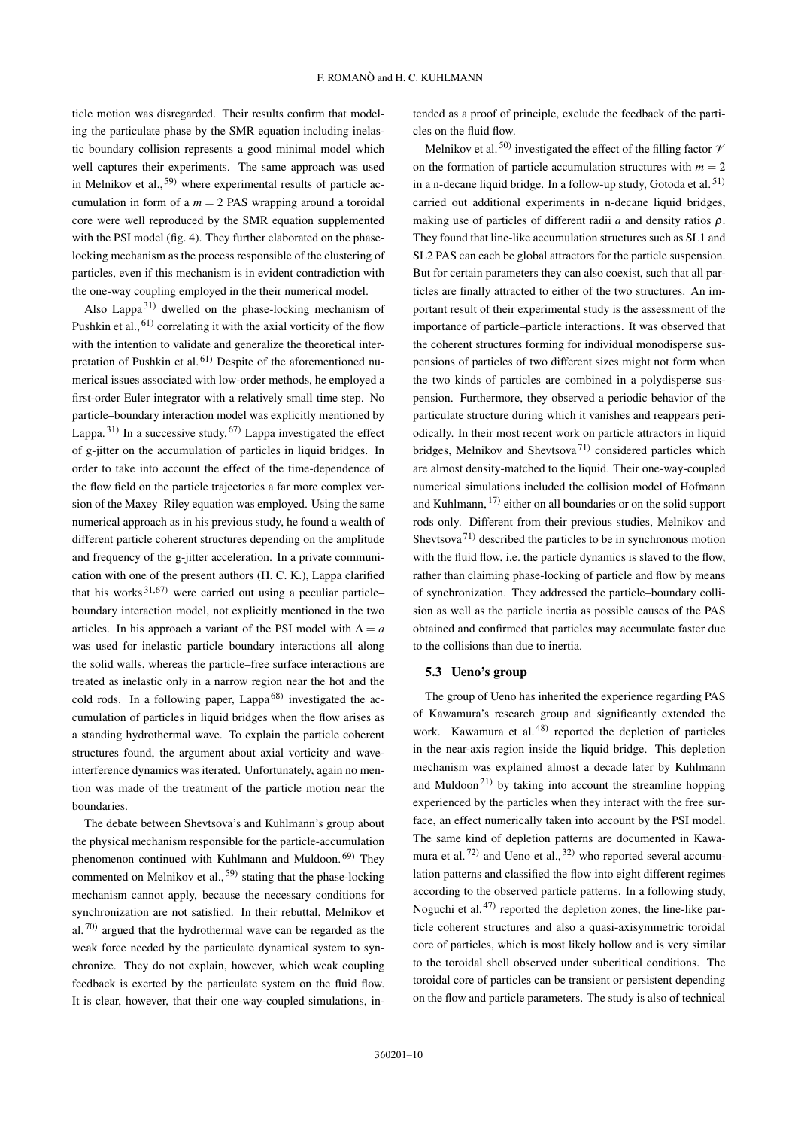ticle motion was disregarded. Their results confirm that modeling the particulate phase by the SMR equation including inelastic boundary collision represents a good minimal model which well captures their experiments. The same approach was used in Melnikov et al.,  $59$ ) where experimental results of particle accumulation in form of a  $m = 2$  PAS wrapping around a toroidal core were well reproduced by the SMR equation supplemented with the PSI model (fig. [4\)](#page-8-0). They further elaborated on the phaselocking mechanism as the process responsible of the clustering of particles, even if this mechanism is in evident contradiction with the one-way coupling employed in the their numerical model.

Also Lappa $^{31)}$  $^{31)}$  $^{31)}$  dwelled on the phase-locking mechanism of Pushkin et al., <sup>61</sup> correlating it with the axial vorticity of the flow with the intention to validate and generalize the theoretical inter-pretation of Pushkin et al. <sup>[61\)](#page-15-59)</sup> Despite of the aforementioned numerical issues associated with low-order methods, he employed a first-order Euler integrator with a relatively small time step. No particle–boundary interaction model was explicitly mentioned by Lappa.<sup>[31\)](#page-15-30)</sup> In a successive study,  $67$  Lappa investigated the effect of g-jitter on the accumulation of particles in liquid bridges. In order to take into account the effect of the time-dependence of the flow field on the particle trajectories a far more complex version of the Maxey–Riley equation was employed. Using the same numerical approach as in his previous study, he found a wealth of different particle coherent structures depending on the amplitude and frequency of the g-jitter acceleration. In a private communication with one of the present authors (H. C. K.), Lappa clarified that his works  $31,67$  $31,67$  were carried out using a peculiar particle– boundary interaction model, not explicitly mentioned in the two articles. In his approach a variant of the PSI model with  $\Delta = a$ was used for inelastic particle–boundary interactions all along the solid walls, whereas the particle–free surface interactions are treated as inelastic only in a narrow region near the hot and the cold rods. In a following paper, Lappa $^{68)}$  $^{68)}$  $^{68)}$  investigated the accumulation of particles in liquid bridges when the flow arises as a standing hydrothermal wave. To explain the particle coherent structures found, the argument about axial vorticity and waveinterference dynamics was iterated. Unfortunately, again no mention was made of the treatment of the particle motion near the boundaries.

The debate between Shevtsova's and Kuhlmann's group about the physical mechanism responsible for the particle-accumulation phenomenon continued with Kuhlmann and Muldoon. [69\)](#page-16-7) They commented on Melnikov et al.,  $59$  stating that the phase-locking mechanism cannot apply, because the necessary conditions for synchronization are not satisfied. In their rebuttal, Melnikov et al.  $70$ ) argued that the hydrothermal wave can be regarded as the weak force needed by the particulate dynamical system to synchronize. They do not explain, however, which weak coupling feedback is exerted by the particulate system on the fluid flow. It is clear, however, that their one-way-coupled simulations, intended as a proof of principle, exclude the feedback of the particles on the fluid flow.

Melnikov et al.<sup>[50\)](#page-15-49)</sup> investigated the effect of the filling factor  $\mathcal{V}$ on the formation of particle accumulation structures with  $m = 2$ in a n-decane liquid bridge. In a follow-up study, Gotoda et al.  $51$ ) carried out additional experiments in n-decane liquid bridges, making use of particles of different radii *a* and density ratios ρ. They found that line-like accumulation structures such as SL1 and SL2 PAS can each be global attractors for the particle suspension. But for certain parameters they can also coexist, such that all particles are finally attracted to either of the two structures. An important result of their experimental study is the assessment of the importance of particle–particle interactions. It was observed that the coherent structures forming for individual monodisperse suspensions of particles of two different sizes might not form when the two kinds of particles are combined in a polydisperse suspension. Furthermore, they observed a periodic behavior of the particulate structure during which it vanishes and reappears periodically. In their most recent work on particle attractors in liquid bridges, Melnikov and Shevtsova<sup>[71\)](#page-16-9)</sup> considered particles which are almost density-matched to the liquid. Their one-way-coupled numerical simulations included the collision model of Hofmann and Kuhlmann, <sup>[17\)](#page-15-16)</sup> either on all boundaries or on the solid support rods only. Different from their previous studies, Melnikov and Shevtsova [71\)](#page-16-9) described the particles to be in synchronous motion with the fluid flow, i.e. the particle dynamics is slaved to the flow, rather than claiming phase-locking of particle and flow by means of synchronization. They addressed the particle–boundary collision as well as the particle inertia as possible causes of the PAS obtained and confirmed that particles may accumulate faster due to the collisions than due to inertia.

#### 5.3 Ueno's group

The group of Ueno has inherited the experience regarding PAS of Kawamura's research group and significantly extended the work. Kawamura et al.<sup>[48\)](#page-15-47)</sup> reported the depletion of particles in the near-axis region inside the liquid bridge. This depletion mechanism was explained almost a decade later by Kuhlmann and Muldoon<sup>[21\)](#page-15-20)</sup> by taking into account the streamline hopping experienced by the particles when they interact with the free surface, an effect numerically taken into account by the PSI model. The same kind of depletion patterns are documented in Kawa-mura et al.<sup>[72\)](#page-16-10)</sup> and Ueno et al.,  $32)$  who reported several accumulation patterns and classified the flow into eight different regimes according to the observed particle patterns. In a following study, Noguchi et al.<sup>[47\)](#page-15-46)</sup> reported the depletion zones, the line-like particle coherent structures and also a quasi-axisymmetric toroidal core of particles, which is most likely hollow and is very similar to the toroidal shell observed under subcritical conditions. The toroidal core of particles can be transient or persistent depending on the flow and particle parameters. The study is also of technical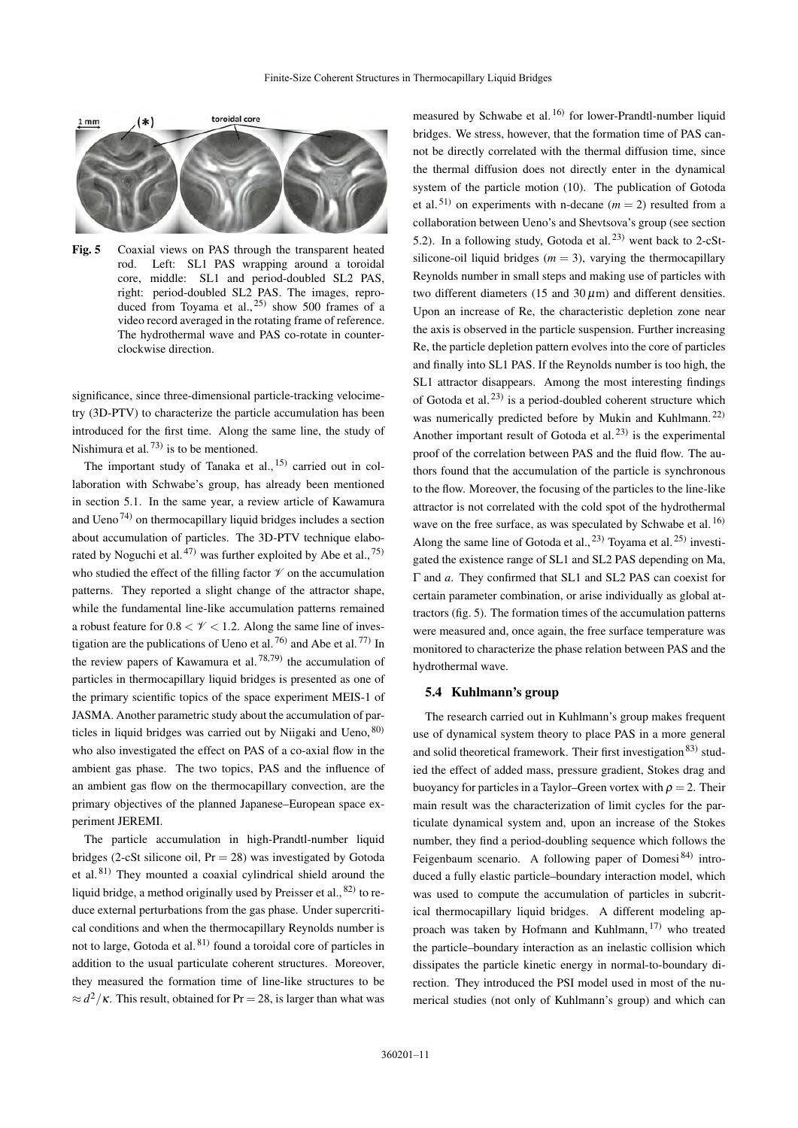

<span id="page-10-0"></span>Fig. 5 Coaxial views on PAS through the transparent heated rod. Left: SL1 PAS wrapping around a toroidal core, middle: SL1 and period-doubled SL2 PAS, right: period-doubled SL2 PAS. The images, reproduced from Toyama et al.,  $^{25)}$  $^{25)}$  $^{25)}$  show 500 frames of a video record averaged in the rotating frame of reference. The hydrothermal wave and PAS co-rotate in counterclockwise direction.

significance, since three-dimensional particle-tracking velocimetry (3D-PTV) to characterize the particle accumulation has been introduced for the first time. Along the same line, the study of Nishimura et al.  $^{73)}$  $^{73)}$  $^{73)}$  is to be mentioned.

The important study of Tanaka et al.,  $15$  carried out in collaboration with Schwabe's group, has already been mentioned in section [5.1.](#page-6-1) In the same year, a review article of Kawamura and Ueno<sup>[74\)](#page-16-12)</sup> on thermocapillary liquid bridges includes a section about accumulation of particles. The 3D-PTV technique elabo-rated by Noguchi et al.<sup>[47\)](#page-15-46)</sup> was further exploited by Abe et al.,<sup>[75\)](#page-16-13)</sup> who studied the effect of the filling factor  $\mathcal V$  on the accumulation patterns. They reported a slight change of the attractor shape, while the fundamental line-like accumulation patterns remained a robust feature for  $0.8 < \mathcal{V} < 1.2$ . Along the same line of investigation are the publications of Ueno et al.  $^{76}$  and Abe et al.  $^{77)}$  $^{77)}$  $^{77)}$  In the review papers of Kawamura et al.  $^{78,79)}$  $^{78,79)}$  $^{78,79)}$  $^{78,79)}$  the accumulation of particles in thermocapillary liquid bridges is presented as one of the primary scientific topics of the space experiment MEIS-1 of JASMA. Another parametric study about the accumulation of particles in liquid bridges was carried out by Niigaki and Ueno, [80\)](#page-16-18) who also investigated the effect on PAS of a co-axial flow in the ambient gas phase. The two topics, PAS and the influence of an ambient gas flow on the thermocapillary convection, are the primary objectives of the planned Japanese–European space experiment JEREMI.

The particle accumulation in high-Prandtl-number liquid bridges (2-cSt silicone oil,  $Pr = 28$ ) was investigated by Gotoda et al. [81\)](#page-16-19) They mounted a coaxial cylindrical shield around the liquid bridge, a method originally used by Preisser et al.,  $82$  to reduce external perturbations from the gas phase. Under supercritical conditions and when the thermocapillary Reynolds number is not to large, Gotoda et al.<sup>[81\)](#page-16-19)</sup> found a toroidal core of particles in addition to the usual particulate coherent structures. Moreover, they measured the formation time of line-like structures to be  $\approx d^2/\kappa$ . This result, obtained for Pr = 28, is larger than what was

measured by Schwabe et al.<sup>[16\)](#page-15-15)</sup> for lower-Prandtl-number liquid bridges. We stress, however, that the formation time of PAS cannot be directly correlated with the thermal diffusion time, since the thermal diffusion does not directly enter in the dynamical system of the particle motion [\(10\)](#page-4-1). The publication of Gotoda et al.<sup>[51\)](#page-15-50)</sup> on experiments with n-decane  $(m = 2)$  resulted from a collaboration between Ueno's and Shevtsova's group (see section [5.2\)](#page-8-1). In a following study, Gotoda et al.  $2^{3}$  went back to 2-cStsilicone-oil liquid bridges  $(m = 3)$ , varying the thermocapillary Reynolds number in small steps and making use of particles with two different diameters (15 and  $30 \mu m$ ) and different densities. Upon an increase of Re, the characteristic depletion zone near the axis is observed in the particle suspension. Further increasing Re, the particle depletion pattern evolves into the core of particles and finally into SL1 PAS. If the Reynolds number is too high, the SL1 attractor disappears. Among the most interesting findings of Gotoda et al.<sup>[23\)](#page-15-22)</sup> is a period-doubled coherent structure which was numerically predicted before by Mukin and Kuhlmann.<sup>[22\)](#page-15-21)</sup> Another important result of Gotoda et al.<sup>[23\)](#page-15-22)</sup> is the experimental proof of the correlation between PAS and the fluid flow. The authors found that the accumulation of the particle is synchronous to the flow. Moreover, the focusing of the particles to the line-like attractor is not correlated with the cold spot of the hydrothermal wave on the free surface, as was speculated by Schwabe et al.<sup>[16\)](#page-15-15)</sup> Along the same line of Gotoda et al.,  $^{23)}$  $^{23)}$  $^{23)}$  Toyama et al.  $^{25)}$  $^{25)}$  $^{25)}$  investigated the existence range of SL1 and SL2 PAS depending on Ma, Γ and *a*. They confirmed that SL1 and SL2 PAS can coexist for certain parameter combination, or arise individually as global attractors (fig. [5\)](#page-10-0). The formation times of the accumulation patterns were measured and, once again, the free surface temperature was monitored to characterize the phase relation between PAS and the hydrothermal wave.

#### 5.4 Kuhlmann's group

The research carried out in Kuhlmann's group makes frequent use of dynamical system theory to place PAS in a more general and solid theoretical framework. Their first investigation<sup>[83\)](#page-16-21)</sup> studied the effect of added mass, pressure gradient, Stokes drag and buoyancy for particles in a Taylor–Green vortex with  $\rho = 2$ . Their main result was the characterization of limit cycles for the particulate dynamical system and, upon an increase of the Stokes number, they find a period-doubling sequence which follows the Feigenbaum scenario. A following paper of Domesi<sup>[84\)](#page-16-22)</sup> introduced a fully elastic particle–boundary interaction model, which was used to compute the accumulation of particles in subcritical thermocapillary liquid bridges. A different modeling approach was taken by Hofmann and Kuhlmann, [17\)](#page-15-16) who treated the particle–boundary interaction as an inelastic collision which dissipates the particle kinetic energy in normal-to-boundary direction. They introduced the PSI model used in most of the numerical studies (not only of Kuhlmann's group) and which can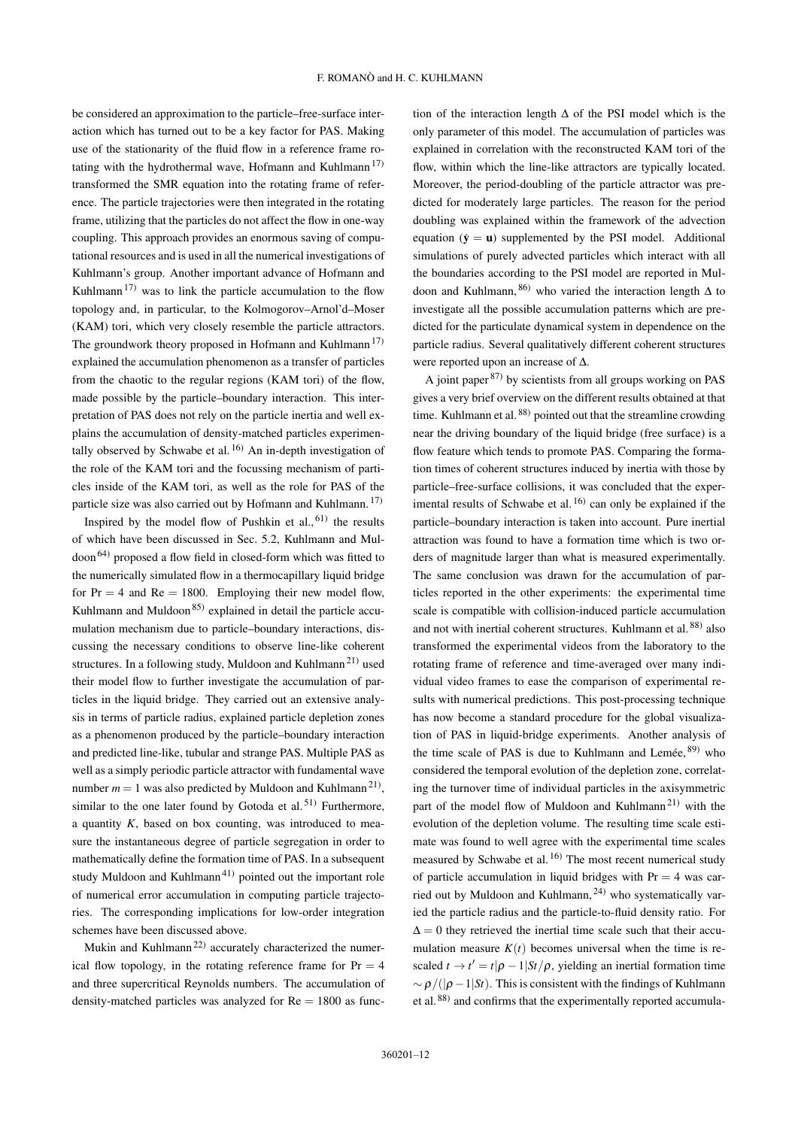be considered an approximation to the particle–free-surface interaction which has turned out to be a key factor for PAS. Making use of the stationarity of the fluid flow in a reference frame ro-tating with the hydrothermal wave, Hofmann and Kuhlmann<sup>[17\)](#page-15-16)</sup> transformed the SMR equation into the rotating frame of reference. The particle trajectories were then integrated in the rotating frame, utilizing that the particles do not affect the flow in one-way coupling. This approach provides an enormous saving of computational resources and is used in all the numerical investigations of Kuhlmann's group. Another important advance of Hofmann and Kuhlmann<sup>[17\)](#page-15-16)</sup> was to link the particle accumulation to the flow topology and, in particular, to the Kolmogorov–Arnol'd–Moser (KAM) tori, which very closely resemble the particle attractors. The groundwork theory proposed in Hofmann and Kuhlmann<sup>[17\)](#page-15-16)</sup> explained the accumulation phenomenon as a transfer of particles from the chaotic to the regular regions (KAM tori) of the flow, made possible by the particle–boundary interaction. This interpretation of PAS does not rely on the particle inertia and well explains the accumulation of density-matched particles experimentally observed by Schwabe et al.  $^{16)}$  $^{16)}$  $^{16)}$  An in-depth investigation of the role of the KAM tori and the focussing mechanism of particles inside of the KAM tori, as well as the role for PAS of the particle size was also carried out by Hofmann and Kuhlmann. [17\)](#page-15-16)

Inspired by the model flow of Pushkin et al.,  $61$ ) the results of which have been discussed in Sec. [5.2,](#page-8-1) Kuhlmann and Mul- $\gamma$  doon<sup>[64\)](#page-16-2)</sup> proposed a flow field in closed-form which was fitted to the numerically simulated flow in a thermocapillary liquid bridge for  $Pr = 4$  and  $Re = 1800$ . Employing their new model flow, Kuhlmann and Muldoon<sup>[85\)](#page-16-23)</sup> explained in detail the particle accumulation mechanism due to particle–boundary interactions, discussing the necessary conditions to observe line-like coherent structures. In a following study, Muldoon and Kuhlmann<sup>[21\)](#page-15-20)</sup> used their model flow to further investigate the accumulation of particles in the liquid bridge. They carried out an extensive analysis in terms of particle radius, explained particle depletion zones as a phenomenon produced by the particle–boundary interaction and predicted line-like, tubular and strange PAS. Multiple PAS as well as a simply periodic particle attractor with fundamental wave number  $m = 1$  was also predicted by Muldoon and Kuhlmann<sup>21</sup><sup>)</sup>, similar to the one later found by Gotoda et al.<sup>[51\)](#page-15-50)</sup> Furthermore, a quantity *K*, based on box counting, was introduced to measure the instantaneous degree of particle segregation in order to mathematically define the formation time of PAS. In a subsequent study Muldoon and Kuhlmann<sup>[41\)](#page-15-40)</sup> pointed out the important role of numerical error accumulation in computing particle trajectories. The corresponding implications for low-order integration schemes have been discussed above.

Mukin and Kuhlmann<sup>[22\)](#page-15-21)</sup> accurately characterized the numerical flow topology, in the rotating reference frame for  $Pr = 4$ and three supercritical Reynolds numbers. The accumulation of density-matched particles was analyzed for  $Re = 1800$  as function of the interaction length ∆ of the PSI model which is the only parameter of this model. The accumulation of particles was explained in correlation with the reconstructed KAM tori of the flow, within which the line-like attractors are typically located. Moreover, the period-doubling of the particle attractor was predicted for moderately large particles. The reason for the period doubling was explained within the framework of the advection equation  $(\dot{y} = u)$  supplemented by the PSI model. Additional simulations of purely advected particles which interact with all the boundaries according to the PSI model are reported in Muldoon and Kuhlmann,  $86$ ) who varied the interaction length  $\Delta$  to investigate all the possible accumulation patterns which are predicted for the particulate dynamical system in dependence on the particle radius. Several qualitatively different coherent structures were reported upon an increase of ∆.

A joint paper  $87$  by scientists from all groups working on PAS gives a very brief overview on the different results obtained at that time. Kuhlmann et al. [88\)](#page-16-26) pointed out that the streamline crowding near the driving boundary of the liquid bridge (free surface) is a flow feature which tends to promote PAS. Comparing the formation times of coherent structures induced by inertia with those by particle–free-surface collisions, it was concluded that the experimental results of Schwabe et al.  $^{16}$  can only be explained if the particle–boundary interaction is taken into account. Pure inertial attraction was found to have a formation time which is two orders of magnitude larger than what is measured experimentally. The same conclusion was drawn for the accumulation of particles reported in the other experiments: the experimental time scale is compatible with collision-induced particle accumulation and not with inertial coherent structures. Kuhlmann et al.<sup>[88\)](#page-16-26)</sup> also transformed the experimental videos from the laboratory to the rotating frame of reference and time-averaged over many individual video frames to ease the comparison of experimental results with numerical predictions. This post-processing technique has now become a standard procedure for the global visualization of PAS in liquid-bridge experiments. Another analysis of the time scale of PAS is due to Kuhlmann and Lemée,  $89$  who considered the temporal evolution of the depletion zone, correlating the turnover time of individual particles in the axisymmetric part of the model flow of Muldoon and Kuhlmann<sup>[21\)](#page-15-20)</sup> with the evolution of the depletion volume. The resulting time scale estimate was found to well agree with the experimental time scales measured by Schwabe et al.<sup>[16\)](#page-15-15)</sup> The most recent numerical study of particle accumulation in liquid bridges with  $Pr = 4$  was carried out by Muldoon and Kuhlmann, [24\)](#page-15-23) who systematically varied the particle radius and the particle-to-fluid density ratio. For  $\Delta = 0$  they retrieved the inertial time scale such that their accumulation measure  $K(t)$  becomes universal when the time is rescaled  $t \to t' = t|\rho - 1|St/\rho$ , yielding an inertial formation time  $~\sim \rho/((\rho-1|St)$ . This is consistent with the findings of Kuhlmann et al.<sup>[88\)](#page-16-26)</sup> and confirms that the experimentally reported accumula-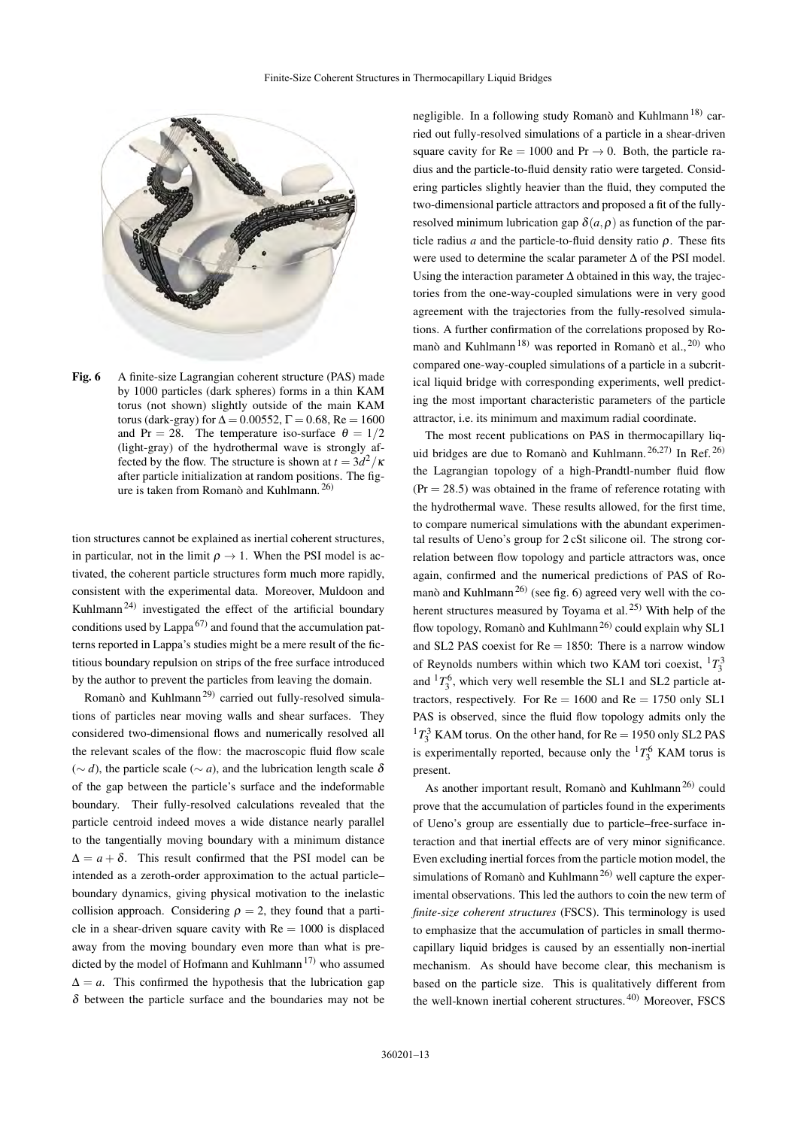

<span id="page-12-0"></span>Fig. 6 A finite-size Lagrangian coherent structure (PAS) made by 1000 particles (dark spheres) forms in a thin KAM torus (not shown) slightly outside of the main KAM torus (dark-gray) for  $\Delta = 0.00552$ ,  $\Gamma = 0.68$ , Re = 1600 and Pr = 28. The temperature iso-surface  $\theta = 1/2$ (light-gray) of the hydrothermal wave is strongly affected by the flow. The structure is shown at  $t = 3d^2/\kappa$ after particle initialization at random positions. The figure is taken from Romanò and Kuhlmann. [26\)](#page-15-25)

tion structures cannot be explained as inertial coherent structures, in particular, not in the limit  $\rho \rightarrow 1$ . When the PSI model is activated, the coherent particle structures form much more rapidly, consistent with the experimental data. Moreover, Muldoon and Kuhlmann<sup>[24\)](#page-15-23)</sup> investigated the effect of the artificial boundary conditions used by Lappa<sup>[67\)](#page-16-5)</sup> and found that the accumulation patterns reported in Lappa's studies might be a mere result of the fictitious boundary repulsion on strips of the free surface introduced by the author to prevent the particles from leaving the domain.

Romanò and Kuhlmann<sup>[29\)](#page-15-28)</sup> carried out fully-resolved simulations of particles near moving walls and shear surfaces. They considered two-dimensional flows and numerically resolved all the relevant scales of the flow: the macroscopic fluid flow scale ( $∼ d$ ), the particle scale ( $∼ a$ ), and the lubrication length scale δ of the gap between the particle's surface and the indeformable boundary. Their fully-resolved calculations revealed that the particle centroid indeed moves a wide distance nearly parallel to the tangentially moving boundary with a minimum distance  $\Delta = a + \delta$ . This result confirmed that the PSI model can be intended as a zeroth-order approximation to the actual particle– boundary dynamics, giving physical motivation to the inelastic collision approach. Considering  $\rho = 2$ , they found that a particle in a shear-driven square cavity with  $Re = 1000$  is displaced away from the moving boundary even more than what is pre-dicted by the model of Hofmann and Kuhlmann<sup>[17\)](#page-15-16)</sup> who assumed  $\Delta = a$ . This confirmed the hypothesis that the lubrication gap  $\delta$  between the particle surface and the boundaries may not be

negligible. In a following study Romanò and Kuhlmann<sup>[18\)](#page-15-17)</sup> carried out fully-resolved simulations of a particle in a shear-driven square cavity for  $Re = 1000$  and  $Pr \rightarrow 0$ . Both, the particle radius and the particle-to-fluid density ratio were targeted. Considering particles slightly heavier than the fluid, they computed the two-dimensional particle attractors and proposed a fit of the fullyresolved minimum lubrication gap  $\delta(a,\rho)$  as function of the particle radius *a* and the particle-to-fluid density ratio  $\rho$ . These fits were used to determine the scalar parameter ∆ of the PSI model. Using the interaction parameter ∆ obtained in this way, the trajectories from the one-way-coupled simulations were in very good agreement with the trajectories from the fully-resolved simulations. A further confirmation of the correlations proposed by Ro-manò and Kuhlmann<sup>[18\)](#page-15-17)</sup> was reported in Romanò et al., <sup>[20\)](#page-15-19)</sup> who compared one-way-coupled simulations of a particle in a subcritical liquid bridge with corresponding experiments, well predicting the most important characteristic parameters of the particle attractor, i.e. its minimum and maximum radial coordinate.

The most recent publications on PAS in thermocapillary liquid bridges are due to Romanò and Kuhlmann.  $26,27$  $26,27$ ) In Ref.  $26$ ) the Lagrangian topology of a high-Prandtl-number fluid flow  $(Pr = 28.5)$  was obtained in the frame of reference rotating with the hydrothermal wave. These results allowed, for the first time, to compare numerical simulations with the abundant experimental results of Ueno's group for 2 cSt silicone oil. The strong correlation between flow topology and particle attractors was, once again, confirmed and the numerical predictions of PAS of Ro-manò and Kuhlmann<sup>[26\)](#page-15-25)</sup> (see fig. [6\)](#page-12-0) agreed very well with the coherent structures measured by Toyama et al. [25\)](#page-15-24) With help of the flow topology, Romanò and Kuhlmann<sup>[26\)](#page-15-25)</sup> could explain why SL1 and SL2 PAS coexist for  $Re = 1850$ : There is a narrow window of Reynolds numbers within which two KAM tori coexist,  ${}^{1}T_{3}^{3}$ and  ${}^{1}T_{3}^{6}$ , which very well resemble the SL1 and SL2 particle attractors, respectively. For  $Re = 1600$  and  $Re = 1750$  only SL1 PAS is observed, since the fluid flow topology admits only the  $17_3^3$  KAM torus. On the other hand, for Re = 1950 only SL2 PAS is experimentally reported, because only the  ${}^{1}T_{3}^{6}$  KAM torus is present.

As another important result, Romanò and Kuhlmann<sup>[26\)](#page-15-25)</sup> could prove that the accumulation of particles found in the experiments of Ueno's group are essentially due to particle–free-surface interaction and that inertial effects are of very minor significance. Even excluding inertial forces from the particle motion model, the simulations of Romanò and Kuhlmann<sup>[26\)](#page-15-25)</sup> well capture the experimental observations. This led the authors to coin the new term of *finite-size coherent structures* (FSCS). This terminology is used to emphasize that the accumulation of particles in small thermocapillary liquid bridges is caused by an essentially non-inertial mechanism. As should have become clear, this mechanism is based on the particle size. This is qualitatively different from the well-known inertial coherent structures. [40\)](#page-15-39) Moreover, FSCS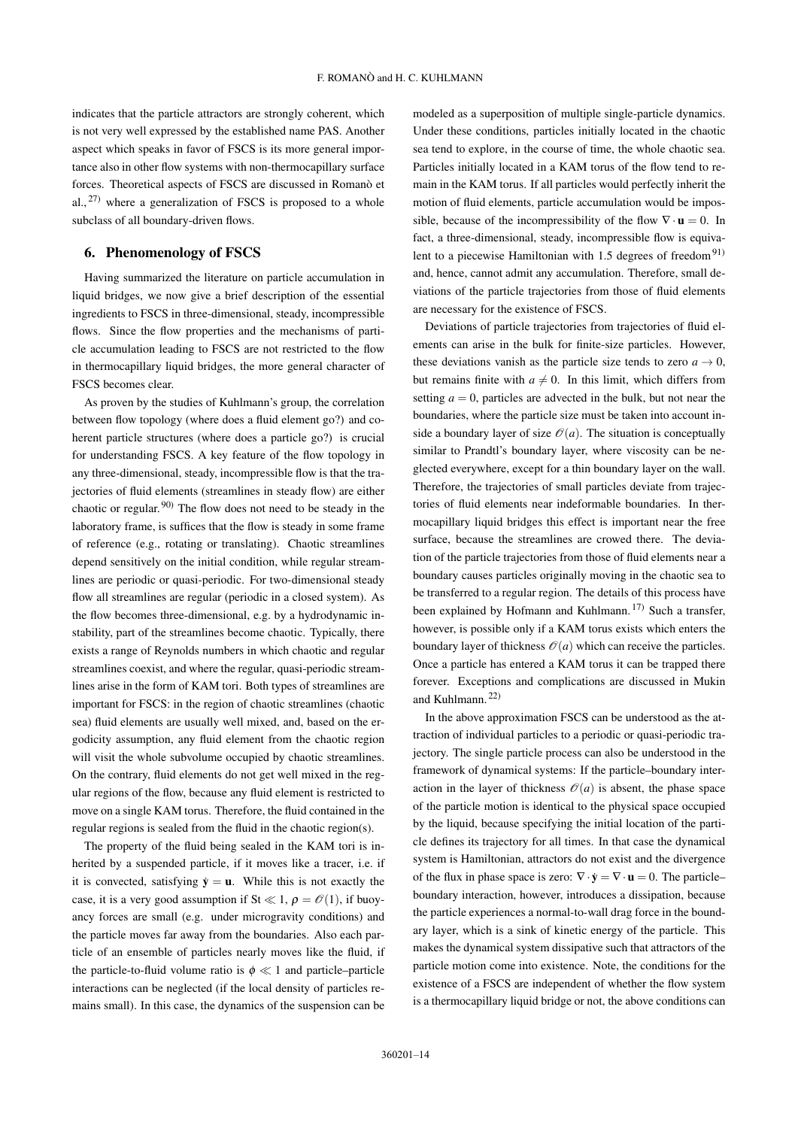indicates that the particle attractors are strongly coherent, which is not very well expressed by the established name PAS. Another aspect which speaks in favor of FSCS is its more general importance also in other flow systems with non-thermocapillary surface forces. Theoretical aspects of FSCS are discussed in Romanò et al.,  $27)$  where a generalization of FSCS is proposed to a whole subclass of all boundary-driven flows.

## <span id="page-13-0"></span>6. Phenomenology of FSCS

Having summarized the literature on particle accumulation in liquid bridges, we now give a brief description of the essential ingredients to FSCS in three-dimensional, steady, incompressible flows. Since the flow properties and the mechanisms of particle accumulation leading to FSCS are not restricted to the flow in thermocapillary liquid bridges, the more general character of FSCS becomes clear.

As proven by the studies of Kuhlmann's group, the correlation between flow topology (where does a fluid element go?) and coherent particle structures (where does a particle go?) is crucial for understanding FSCS. A key feature of the flow topology in any three-dimensional, steady, incompressible flow is that the trajectories of fluid elements (streamlines in steady flow) are either chaotic or regular. [90\)](#page-16-28) The flow does not need to be steady in the laboratory frame, is suffices that the flow is steady in some frame of reference (e.g., rotating or translating). Chaotic streamlines depend sensitively on the initial condition, while regular streamlines are periodic or quasi-periodic. For two-dimensional steady flow all streamlines are regular (periodic in a closed system). As the flow becomes three-dimensional, e.g. by a hydrodynamic instability, part of the streamlines become chaotic. Typically, there exists a range of Reynolds numbers in which chaotic and regular streamlines coexist, and where the regular, quasi-periodic streamlines arise in the form of KAM tori. Both types of streamlines are important for FSCS: in the region of chaotic streamlines (chaotic sea) fluid elements are usually well mixed, and, based on the ergodicity assumption, any fluid element from the chaotic region will visit the whole subvolume occupied by chaotic streamlines. On the contrary, fluid elements do not get well mixed in the regular regions of the flow, because any fluid element is restricted to move on a single KAM torus. Therefore, the fluid contained in the regular regions is sealed from the fluid in the chaotic region(s).

The property of the fluid being sealed in the KAM tori is inherited by a suspended particle, if it moves like a tracer, i.e. if it is convected, satisfying  $\dot{y} = u$ . While this is not exactly the case, it is a very good assumption if St  $\ll 1$ ,  $\rho = \mathcal{O}(1)$ , if buoyancy forces are small (e.g. under microgravity conditions) and the particle moves far away from the boundaries. Also each particle of an ensemble of particles nearly moves like the fluid, if the particle-to-fluid volume ratio is  $\phi \ll 1$  and particle–particle interactions can be neglected (if the local density of particles remains small). In this case, the dynamics of the suspension can be modeled as a superposition of multiple single-particle dynamics. Under these conditions, particles initially located in the chaotic sea tend to explore, in the course of time, the whole chaotic sea. Particles initially located in a KAM torus of the flow tend to remain in the KAM torus. If all particles would perfectly inherit the motion of fluid elements, particle accumulation would be impossible, because of the incompressibility of the flow  $\nabla \cdot \mathbf{u} = 0$ . In fact, a three-dimensional, steady, incompressible flow is equiva-lent to a piecewise Hamiltonian with 1.5 degrees of freedom<sup>[91\)](#page-16-29)</sup> and, hence, cannot admit any accumulation. Therefore, small deviations of the particle trajectories from those of fluid elements are necessary for the existence of FSCS.

Deviations of particle trajectories from trajectories of fluid elements can arise in the bulk for finite-size particles. However, these deviations vanish as the particle size tends to zero  $a \rightarrow 0$ , but remains finite with  $a \neq 0$ . In this limit, which differs from setting  $a = 0$ , particles are advected in the bulk, but not near the boundaries, where the particle size must be taken into account inside a boundary layer of size  $\mathcal{O}(a)$ . The situation is conceptually similar to Prandtl's boundary layer, where viscosity can be neglected everywhere, except for a thin boundary layer on the wall. Therefore, the trajectories of small particles deviate from trajectories of fluid elements near indeformable boundaries. In thermocapillary liquid bridges this effect is important near the free surface, because the streamlines are crowed there. The deviation of the particle trajectories from those of fluid elements near a boundary causes particles originally moving in the chaotic sea to be transferred to a regular region. The details of this process have been explained by Hofmann and Kuhlmann.  $17$  Such a transfer, however, is possible only if a KAM torus exists which enters the boundary layer of thickness  $\mathcal{O}(a)$  which can receive the particles. Once a particle has entered a KAM torus it can be trapped there forever. Exceptions and complications are discussed in Mukin and Kuhlmann. [22\)](#page-15-21)

In the above approximation FSCS can be understood as the attraction of individual particles to a periodic or quasi-periodic trajectory. The single particle process can also be understood in the framework of dynamical systems: If the particle–boundary interaction in the layer of thickness  $\mathcal{O}(a)$  is absent, the phase space of the particle motion is identical to the physical space occupied by the liquid, because specifying the initial location of the particle defines its trajectory for all times. In that case the dynamical system is Hamiltonian, attractors do not exist and the divergence of the flux in phase space is zero:  $\nabla \cdot \dot{\mathbf{y}} = \nabla \cdot \mathbf{u} = 0$ . The particle– boundary interaction, however, introduces a dissipation, because the particle experiences a normal-to-wall drag force in the boundary layer, which is a sink of kinetic energy of the particle. This makes the dynamical system dissipative such that attractors of the particle motion come into existence. Note, the conditions for the existence of a FSCS are independent of whether the flow system is a thermocapillary liquid bridge or not, the above conditions can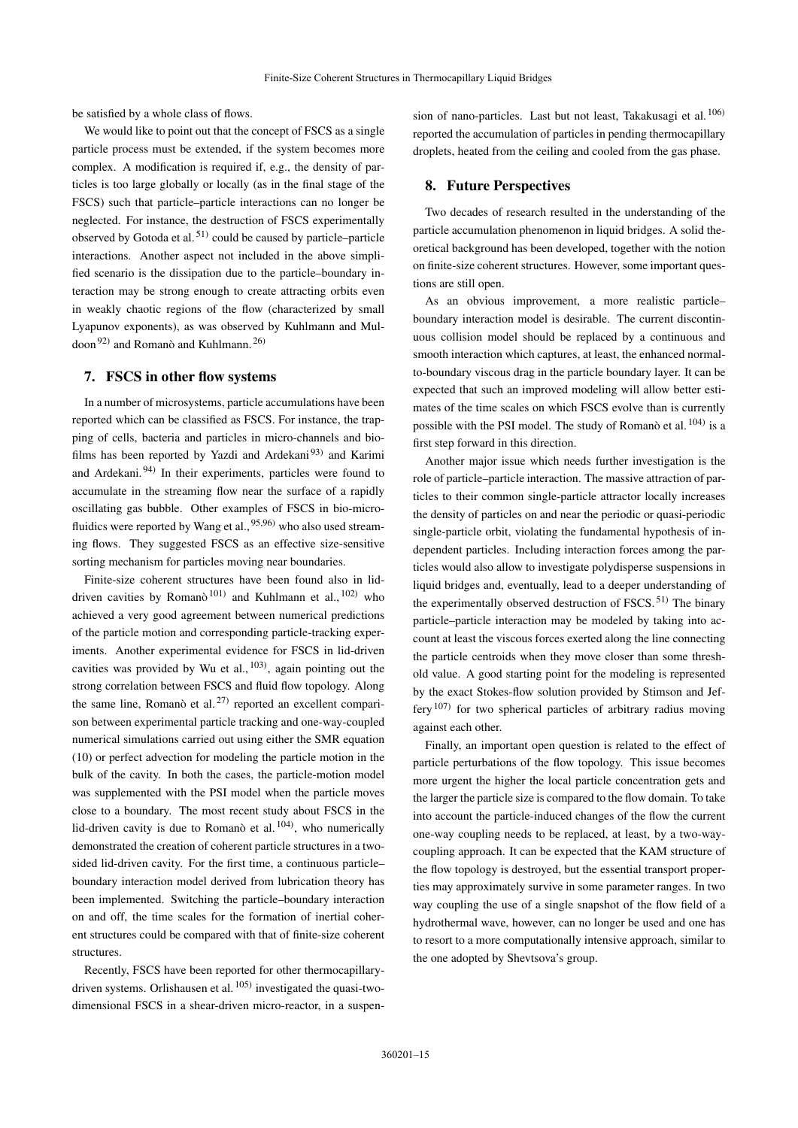be satisfied by a whole class of flows.

We would like to point out that the concept of FSCS as a single particle process must be extended, if the system becomes more complex. A modification is required if, e.g., the density of particles is too large globally or locally (as in the final stage of the FSCS) such that particle–particle interactions can no longer be neglected. For instance, the destruction of FSCS experimentally observed by Gotoda et al.  $51$  could be caused by particle–particle interactions. Another aspect not included in the above simplified scenario is the dissipation due to the particle–boundary interaction may be strong enough to create attracting orbits even in weakly chaotic regions of the flow (characterized by small Lyapunov exponents), as was observed by Kuhlmann and Mul-doon<sup>[92\)](#page-16-30)</sup> and Romanò and Kuhlmann.<sup>[26\)](#page-15-25)</sup>

## <span id="page-14-0"></span>7. FSCS in other flow systems

In a number of microsystems, particle accumulations have been reported which can be classified as FSCS. For instance, the trapping of cells, bacteria and particles in micro-channels and bio-films has been reported by Yazdi and Ardekani<sup>[93\)](#page-16-31)</sup> and Karimi and Ardekani.<sup>[94\)](#page-16-32)</sup> In their experiments, particles were found to accumulate in the streaming flow near the surface of a rapidly oscillating gas bubble. Other examples of FSCS in bio-microfluidics were reported by Wang et al.,  $95,96$  $95,96$  who also used streaming flows. They suggested FSCS as an effective size-sensitive sorting mechanism for particles moving near boundaries.

Finite-size coherent structures have been found also in lid-driven cavities by Romanò<sup>[101\)](#page-16-35)</sup> and Kuhlmann et al., <sup>[102\)](#page-16-36)</sup> who achieved a very good agreement between numerical predictions of the particle motion and corresponding particle-tracking experiments. Another experimental evidence for FSCS in lid-driven cavities was provided by Wu et al.,  $^{103}$ , again pointing out the strong correlation between FSCS and fluid flow topology. Along the same line, Romanò et al.  $27$  reported an excellent comparison between experimental particle tracking and one-way-coupled numerical simulations carried out using either the SMR equation [\(10\)](#page-4-1) or perfect advection for modeling the particle motion in the bulk of the cavity. In both the cases, the particle-motion model was supplemented with the PSI model when the particle moves close to a boundary. The most recent study about FSCS in the lid-driven cavity is due to Romanò et al.  $104$ ), who numerically demonstrated the creation of coherent particle structures in a twosided lid-driven cavity. For the first time, a continuous particle– boundary interaction model derived from lubrication theory has been implemented. Switching the particle–boundary interaction on and off, the time scales for the formation of inertial coherent structures could be compared with that of finite-size coherent structures.

Recently, FSCS have been reported for other thermocapillarydriven systems. Orlishausen et al. [105\)](#page-16-39) investigated the quasi-twodimensional FSCS in a shear-driven micro-reactor, in a suspension of nano-particles. Last but not least, Takakusagi et al. [106\)](#page-16-40) reported the accumulation of particles in pending thermocapillary droplets, heated from the ceiling and cooled from the gas phase.

#### <span id="page-14-1"></span>8. Future Perspectives

Two decades of research resulted in the understanding of the particle accumulation phenomenon in liquid bridges. A solid theoretical background has been developed, together with the notion on finite-size coherent structures. However, some important questions are still open.

As an obvious improvement, a more realistic particle– boundary interaction model is desirable. The current discontinuous collision model should be replaced by a continuous and smooth interaction which captures, at least, the enhanced normalto-boundary viscous drag in the particle boundary layer. It can be expected that such an improved modeling will allow better estimates of the time scales on which FSCS evolve than is currently possible with the PSI model. The study of Romanò et al. [104\)](#page-16-38) is a first step forward in this direction.

Another major issue which needs further investigation is the role of particle–particle interaction. The massive attraction of particles to their common single-particle attractor locally increases the density of particles on and near the periodic or quasi-periodic single-particle orbit, violating the fundamental hypothesis of independent particles. Including interaction forces among the particles would also allow to investigate polydisperse suspensions in liquid bridges and, eventually, lead to a deeper understanding of the experimentally observed destruction of FSCS.  $51$ ) The binary particle–particle interaction may be modeled by taking into account at least the viscous forces exerted along the line connecting the particle centroids when they move closer than some threshold value. A good starting point for the modeling is represented by the exact Stokes-flow solution provided by Stimson and Jef-fery<sup>[107\)](#page-16-41)</sup> for two spherical particles of arbitrary radius moving against each other.

Finally, an important open question is related to the effect of particle perturbations of the flow topology. This issue becomes more urgent the higher the local particle concentration gets and the larger the particle size is compared to the flow domain. To take into account the particle-induced changes of the flow the current one-way coupling needs to be replaced, at least, by a two-waycoupling approach. It can be expected that the KAM structure of the flow topology is destroyed, but the essential transport properties may approximately survive in some parameter ranges. In two way coupling the use of a single snapshot of the flow field of a hydrothermal wave, however, can no longer be used and one has to resort to a more computationally intensive approach, similar to the one adopted by Shevtsova's group.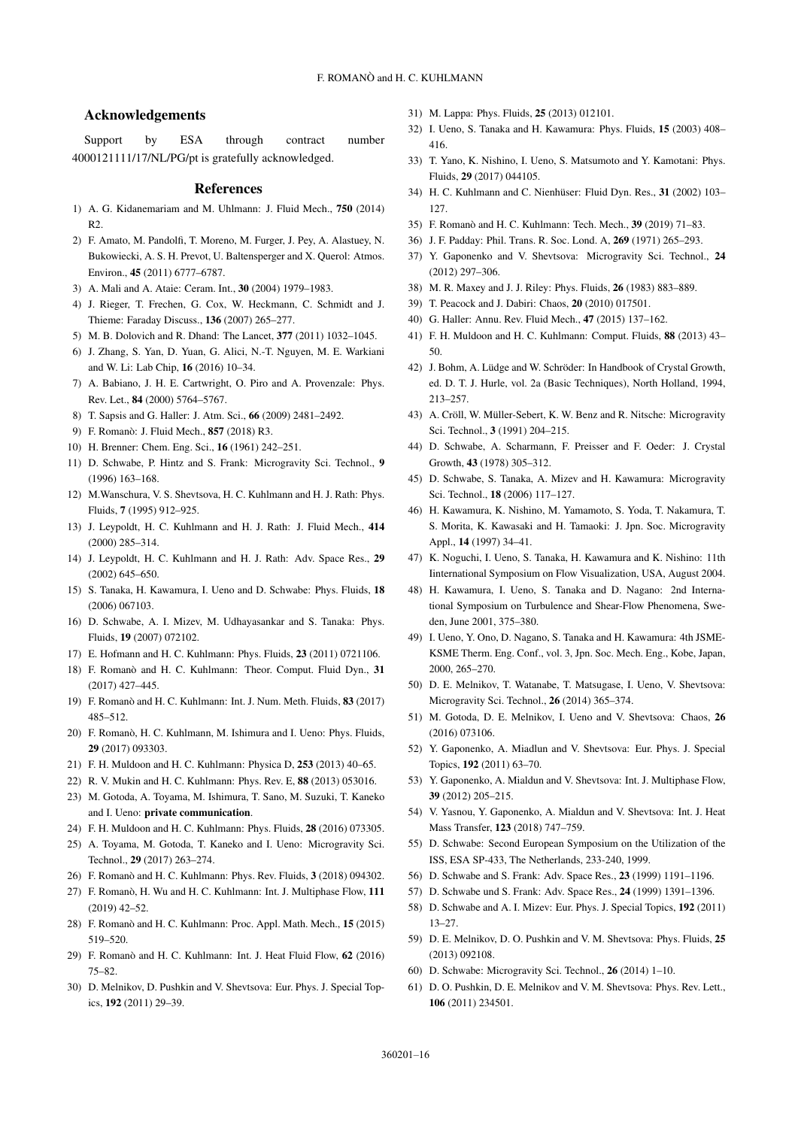## Acknowledgements

Support by ESA through contract number 4000121111/17/NL/PG/pt is gratefully acknowledged.

#### **References**

- <span id="page-15-0"></span>1) A. G. Kidanemariam and M. Uhlmann: J. Fluid Mech., 750 (2014)  $R<sub>2</sub>$
- <span id="page-15-1"></span>2) F. Amato, M. Pandolfi, T. Moreno, M. Furger, J. Pey, A. Alastuey, N. Bukowiecki, A. S. H. Prevot, U. Baltensperger and X. Querol: Atmos. Environ., 45 (2011) 6777–6787.
- <span id="page-15-2"></span>3) A. Mali and A. Ataie: Ceram. Int., 30 (2004) 1979–1983.
- <span id="page-15-3"></span>4) J. Rieger, T. Frechen, G. Cox, W. Heckmann, C. Schmidt and J. Thieme: Faraday Discuss., 136 (2007) 265–277.
- <span id="page-15-4"></span>5) M. B. Dolovich and R. Dhand: The Lancet, 377 (2011) 1032–1045.
- <span id="page-15-5"></span>6) J. Zhang, S. Yan, D. Yuan, G. Alici, N.-T. Nguyen, M. E. Warkiani and W. Li: Lab Chip, 16 (2016) 10–34.
- <span id="page-15-6"></span>7) A. Babiano, J. H. E. Cartwright, O. Piro and A. Provenzale: Phys. Rev. Let., 84 (2000) 5764–5767.
- <span id="page-15-7"></span>8) T. Sapsis and G. Haller: J. Atm. Sci., 66 (2009) 2481–2492.
- <span id="page-15-8"></span>9) F. Romanò: J. Fluid Mech., 857 (2018) R3.
- <span id="page-15-9"></span>10) H. Brenner: Chem. Eng. Sci., 16 (1961) 242–251.
- <span id="page-15-10"></span>11) D. Schwabe, P. Hintz and S. Frank: Microgravity Sci. Technol., 9 (1996) 163–168.
- <span id="page-15-11"></span>12) M.Wanschura, V. S. Shevtsova, H. C. Kuhlmann and H. J. Rath: Phys. Fluids, 7 (1995) 912–925.
- <span id="page-15-12"></span>13) J. Leypoldt, H. C. Kuhlmann and H. J. Rath: J. Fluid Mech., 414 (2000) 285–314.
- <span id="page-15-13"></span>14) J. Leypoldt, H. C. Kuhlmann and H. J. Rath: Adv. Space Res., 29 (2002) 645–650.
- <span id="page-15-14"></span>15) S. Tanaka, H. Kawamura, I. Ueno and D. Schwabe: Phys. Fluids, 18 (2006) 067103.
- <span id="page-15-15"></span>16) D. Schwabe, A. I. Mizev, M. Udhayasankar and S. Tanaka: Phys. Fluids, 19 (2007) 072102.
- <span id="page-15-16"></span>17) E. Hofmann and H. C. Kuhlmann: Phys. Fluids, 23 (2011) 0721106.
- <span id="page-15-17"></span>18) F. Romanò and H. C. Kuhlmann: Theor. Comput. Fluid Dyn., 31 (2017) 427–445.
- <span id="page-15-18"></span>19) F. Romanò and H. C. Kuhlmann: Int. J. Num. Meth. Fluids, 83 (2017) 485–512.
- <span id="page-15-19"></span>20) F. Romanò, H. C. Kuhlmann, M. Ishimura and I. Ueno: Phys. Fluids, 29 (2017) 093303.
- <span id="page-15-20"></span>21) F. H. Muldoon and H. C. Kuhlmann: Physica D, 253 (2013) 40–65.
- <span id="page-15-21"></span>22) R. V. Mukin and H. C. Kuhlmann: Phys. Rev. E, 88 (2013) 053016.
- <span id="page-15-22"></span>23) M. Gotoda, A. Toyama, M. Ishimura, T. Sano, M. Suzuki, T. Kaneko and I. Ueno: private communication.
- <span id="page-15-23"></span>24) F. H. Muldoon and H. C. Kuhlmann: Phys. Fluids, 28 (2016) 073305.
- <span id="page-15-24"></span>25) A. Toyama, M. Gotoda, T. Kaneko and I. Ueno: Microgravity Sci. Technol., 29 (2017) 263–274.
- <span id="page-15-25"></span>26) F. Romanò and H. C. Kuhlmann: Phys. Rev. Fluids, 3 (2018) 094302.
- <span id="page-15-26"></span>27) F. Romanò, H. Wu and H. C. Kuhlmann: Int. J. Multiphase Flow, 111  $(2019)$   $42-52$ .
- <span id="page-15-27"></span>28) F. Romanò and H. C. Kuhlmann: Proc. Appl. Math. Mech., 15 (2015) 519–520.
- <span id="page-15-28"></span>29) F. Romanò and H. C. Kuhlmann: Int. J. Heat Fluid Flow, 62 (2016) 75–82.
- <span id="page-15-29"></span>30) D. Melnikov, D. Pushkin and V. Shevtsova: Eur. Phys. J. Special Topics, 192 (2011) 29–39.
- <span id="page-15-30"></span>31) M. Lappa: Phys. Fluids, 25 (2013) 012101.
- <span id="page-15-31"></span>32) I. Ueno, S. Tanaka and H. Kawamura: Phys. Fluids, 15 (2003) 408– 416.
- <span id="page-15-32"></span>33) T. Yano, K. Nishino, I. Ueno, S. Matsumoto and Y. Kamotani: Phys. Fluids, 29 (2017) 044105.
- <span id="page-15-33"></span>34) H. C. Kuhlmann and C. Nienhüser: Fluid Dyn. Res., 31 (2002) 103– 127.
- <span id="page-15-34"></span>35) F. Romanò and H. C. Kuhlmann: Tech. Mech., 39 (2019) 71–83.
- <span id="page-15-35"></span>36) J. F. Padday: Phil. Trans. R. Soc. Lond. A, 269 (1971) 265–293.
- <span id="page-15-36"></span>37) Y. Gaponenko and V. Shevtsova: Microgravity Sci. Technol., 24 (2012) 297–306.
- <span id="page-15-37"></span>38) M. R. Maxey and J. J. Riley: Phys. Fluids, 26 (1983) 883–889.
- <span id="page-15-38"></span>39) T. Peacock and J. Dabiri: Chaos, 20 (2010) 017501.
- <span id="page-15-39"></span>40) G. Haller: Annu. Rev. Fluid Mech., 47 (2015) 137–162.
- <span id="page-15-40"></span>41) F. H. Muldoon and H. C. Kuhlmann: Comput. Fluids, 88 (2013) 43– 50.
- <span id="page-15-41"></span>42) J. Bohm, A. Lüdge and W. Schröder: In Handbook of Crystal Growth, ed. D. T. J. Hurle, vol. 2a (Basic Techniques), North Holland, 1994, 213–257.
- <span id="page-15-42"></span>43) A. Cröll, W. Müller-Sebert, K. W. Benz and R. Nitsche: Microgravity Sci. Technol., 3 (1991) 204–215.
- <span id="page-15-43"></span>44) D. Schwabe, A. Scharmann, F. Preisser and F. Oeder: J. Crystal Growth, 43 (1978) 305–312.
- <span id="page-15-44"></span>45) D. Schwabe, S. Tanaka, A. Mizev and H. Kawamura: Microgravity Sci. Technol., 18 (2006) 117–127.
- <span id="page-15-45"></span>46) H. Kawamura, K. Nishino, M. Yamamoto, S. Yoda, T. Nakamura, T. S. Morita, K. Kawasaki and H. Tamaoki: J. Jpn. Soc. Microgravity Appl., 14 (1997) 34–41.
- <span id="page-15-46"></span>47) K. Noguchi, I. Ueno, S. Tanaka, H. Kawamura and K. Nishino: 11th Iinternational Symposium on Flow Visualization, USA, August 2004.
- <span id="page-15-47"></span>48) H. Kawamura, I. Ueno, S. Tanaka and D. Nagano: 2nd International Symposium on Turbulence and Shear-Flow Phenomena, Sweden, June 2001, 375–380.
- <span id="page-15-48"></span>49) I. Ueno, Y. Ono, D. Nagano, S. Tanaka and H. Kawamura: 4th JSME-KSME Therm. Eng. Conf., vol. 3, Jpn. Soc. Mech. Eng., Kobe, Japan, 2000, 265–270.
- <span id="page-15-49"></span>50) D. E. Melnikov, T. Watanabe, T. Matsugase, I. Ueno, V. Shevtsova: Microgravity Sci. Technol., 26 (2014) 365–374.
- <span id="page-15-50"></span>51) M. Gotoda, D. E. Melnikov, I. Ueno and V. Shevtsova: Chaos, 26 (2016) 073106.
- <span id="page-15-51"></span>52) Y. Gaponenko, A. Miadlun and V. Shevtsova: Eur. Phys. J. Special Topics, 192 (2011) 63–70.
- 53) Y. Gaponenko, A. Mialdun and V. Shevtsova: Int. J. Multiphase Flow, 39 (2012) 205–215.
- <span id="page-15-52"></span>54) V. Yasnou, Y. Gaponenko, A. Mialdun and V. Shevtsova: Int. J. Heat Mass Transfer, 123 (2018) 747–759.
- <span id="page-15-53"></span>55) D. Schwabe: Second European Symposium on the Utilization of the ISS, ESA SP-433, The Netherlands, 233-240, 1999.
- <span id="page-15-54"></span>56) D. Schwabe and S. Frank: Adv. Space Res., 23 (1999) 1191–1196.
- <span id="page-15-55"></span>57) D. Schwabe und S. Frank: Adv. Space Res., 24 (1999) 1391–1396.
- <span id="page-15-56"></span>58) D. Schwabe and A. I. Mizev: Eur. Phys. J. Special Topics, 192 (2011) 13–27.
- <span id="page-15-57"></span>59) D. E. Melnikov, D. O. Pushkin and V. M. Shevtsova: Phys. Fluids, 25 (2013) 092108.
- <span id="page-15-59"></span><span id="page-15-58"></span>60) D. Schwabe: Microgravity Sci. Technol., 26 (2014) 1–10.
- 61) D. O. Pushkin, D. E. Melnikov and V. M. Shevtsova: Phys. Rev. Lett., 106 (2011) 234501.